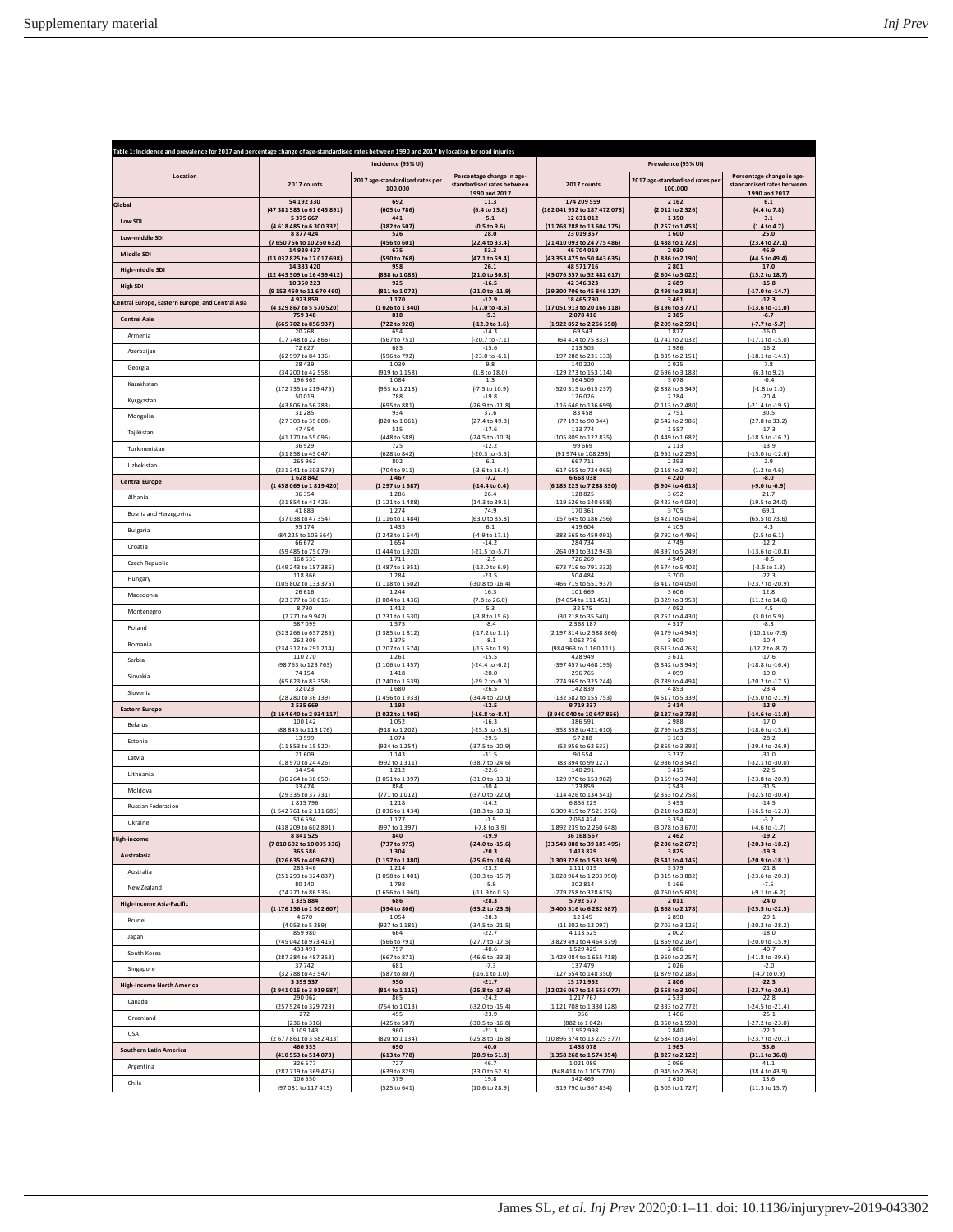| Table 1: Incidence and prevalence for 2017 and percentage change of age-standardised rates between 1990 and 2017 by location for road injuries |                                                         |                                            |                                                                          |                                          |                                            |                                                                          |  |
|------------------------------------------------------------------------------------------------------------------------------------------------|---------------------------------------------------------|--------------------------------------------|--------------------------------------------------------------------------|------------------------------------------|--------------------------------------------|--------------------------------------------------------------------------|--|
|                                                                                                                                                |                                                         | Incidence (95% UI)                         |                                                                          |                                          | Prevalence (95% UI)                        |                                                                          |  |
| Location                                                                                                                                       | 2017 counts                                             | 2017 age-standardised rates per<br>100,000 | Percentage change in age-<br>standardised rates between<br>1990 and 2017 | 2017 counts                              | 2017 age-standardised rates net<br>100,000 | Percentage change in age-<br>standardised rates between<br>1990 and 2017 |  |
| Global                                                                                                                                         | 54192330                                                | 692                                        | 11.3                                                                     | 174 209 559                              | 2 1 6 2                                    | 6.1                                                                      |  |
|                                                                                                                                                | (47 381 583 to 61 645 891)                              | (605 to 786)                               | (6.4 to 15.8)                                                            | (162 041 952 to 187 472 078)             | (2012 to 2326)                             | (4.4 to 7.8)                                                             |  |
| Low SDI                                                                                                                                        | 5375667                                                 | 441                                        | 5.1                                                                      | 12 631 012                               | 1350                                       | 3.1                                                                      |  |
|                                                                                                                                                | (4618485to6300332)                                      | (382 to 507)                               | (0.5 to 9.6)                                                             | (11 768 288 to 13 604 175)               | (1257 to 1453)                             | (1.4 to 4.7)                                                             |  |
| Low-middle SDI                                                                                                                                 | 8877424                                                 | 526                                        | 28.0                                                                     | 23 019 357                               | 1600                                       | 25.0                                                                     |  |
|                                                                                                                                                | (7650756 to 10260632)                                   | (456 to 601)                               | (22.4 to 33.4)                                                           | (21 410 093 to 24 775 486)               | (1488 to 1723)                             | (23.4 to 27.1)                                                           |  |
| Middle SDI                                                                                                                                     | 14929437                                                | 675                                        | 53.3                                                                     | 46 704 019                               | 2030                                       | 46.9                                                                     |  |
|                                                                                                                                                | (13 032 825 to 17 017 698)                              | (590 to 768)                               | (47.1 to 59.4)                                                           | (43 353 475 to 50 443 635)               | (1886 to 2 190)                            | (44.5 to 49.4)                                                           |  |
| High-middle SDI                                                                                                                                | 14383420                                                | 958                                        | 26.1                                                                     | 48 571 716                               | 2801                                       | 17.0                                                                     |  |
|                                                                                                                                                | (12 443 509 to 16 459 412)                              | (838 to 1088)                              | (21.0 to 30.8)                                                           | (45 076 557 to 52 482 617)               | (2604 to 3022)                             | (15.2 to 18.7)                                                           |  |
| <b>High SDI</b>                                                                                                                                | 10350223                                                | 925                                        | $-16.5$                                                                  | 42 346 323                               | 2689                                       | $-15.8$                                                                  |  |
|                                                                                                                                                | (9153 450 to 11 670 460)                                | (811 to 1072)                              | (-21.0 to -11.9)                                                         | (39 300 706 to 45 846 127)               | (2498 to 2913)                             | (-17.0 to -14.7)                                                         |  |
| Central Europe, Eastern Europe, and Central Asia                                                                                               | 4923859                                                 | 1 1 7 0                                    | $-12.9$                                                                  | 18 465 790                               | 3461                                       | $-12.3$                                                                  |  |
|                                                                                                                                                | (4329867 to 5570520)                                    | (1026 to 1340)                             | (-17.0 to -8.6)                                                          | (17 051 913 to 20 166 118)               | (3 196 to 3 771)                           | $(-13.6 \text{ to } -11.0)$                                              |  |
| <b>Central Asia</b>                                                                                                                            | 759348                                                  | 818                                        | $-5.3$                                                                   | 2078416                                  | 2385                                       | $-6.7$                                                                   |  |
|                                                                                                                                                | (665 702 to 856 937)                                    | (722 to 920)                               | $(-12.0 to 1.6)$                                                         | (1922 852 to 2256 558)                   | (2 205 to 2 591)                           | $(-7.7)$ to $-5.7$                                                       |  |
| Armenia                                                                                                                                        | 20268                                                   | 654                                        | $-14.3$                                                                  | 69543                                    | 1877                                       | $-16.0$                                                                  |  |
|                                                                                                                                                | (17 748 to 22 866)                                      | (567 to 751)                               | (-20.7 to -7.1)                                                          | (64 414 to 75 333)                       | (1741 to 2032)                             | $(-17.1 to -15.0)$                                                       |  |
| Azerbaijan                                                                                                                                     | 72627                                                   | 685                                        | $-15.6$                                                                  | 213 505                                  | 1986                                       | $-16.2$                                                                  |  |
|                                                                                                                                                | (62 997 to 84 136)                                      | (596 to 792)                               | $(-23.0 to -6.1)$                                                        | (197 288 to 231 133)                     | (1835 to 2151)                             | -18.1 to -14.5                                                           |  |
| Georgia                                                                                                                                        | 38439                                                   | 1039                                       | 9.8                                                                      | 140 220                                  | 2925                                       | 7.8                                                                      |  |
|                                                                                                                                                | (34 200 to 42 558)                                      | (919 to 1 158)                             | (1.8 to 18.0)                                                            | (129 273 to 153 114)                     | (2696 to 3188)                             | (6.3 to 9.2)                                                             |  |
| Kazakhstan                                                                                                                                     | 196 365                                                 | 1084                                       | 1.3                                                                      | 564 509                                  | 3078                                       | $-0.4$                                                                   |  |
|                                                                                                                                                | 735 to 219 475)                                         | (953 to 1 218)                             | $(-7.5 \text{ to } 10.9)$                                                | (520 315 to 615 237)                     | (2838 to 3349)                             | $(-1.8 to 1.0)$                                                          |  |
| Kyrgyzstan                                                                                                                                     | 50019                                                   | 788                                        | $-19.8$                                                                  | 126 026                                  | 2 2 8 4                                    | $-20.4$                                                                  |  |
|                                                                                                                                                | (43 806 to 56 283)                                      | (695 to 881)                               | $(-26.9 \text{ to } -11.8)$                                              | (116 646 to 136 699)                     | (2 113 to 2 480)                           | (-21.4 to -19.5)                                                         |  |
| Mongolia                                                                                                                                       | 31285                                                   | 934                                        | 37.6                                                                     | 83 45 8                                  | 2751                                       | 30.5                                                                     |  |
|                                                                                                                                                | (27 303 to 35 608)                                      | (820 to 1061)                              | (27.4 to 49.8)                                                           | (77 193 to 90 344)                       | (2542 to 2986)                             | (27.8 to 33.2)                                                           |  |
| Tajikistan                                                                                                                                     | 47454                                                   | 515                                        | $-17.6$                                                                  | 113774                                   | 1557                                       | $-17.3$                                                                  |  |
| Turkmenistan                                                                                                                                   | (41 170 to 55 096)                                      | (448 to 588)                               | $(-24.5 \text{ to } -10.3)$                                              | (105 809 to 122 835)                     | (1449 to 1682)                             | $(-18.5 to -16.2)$                                                       |  |
|                                                                                                                                                | 36929                                                   | 725                                        | $-12.2$                                                                  | 99 669                                   | 2113                                       | $-13.9$                                                                  |  |
| Uzbekistan                                                                                                                                     | (31 858 to 43 047)                                      | (628 to 842)                               | (-20.3 to -3.5)                                                          | (91974 to 108 293)                       | (1951 to 2293                              | (-15.0 to -12.6)                                                         |  |
|                                                                                                                                                | 265 962                                                 | 802                                        | 6.1                                                                      | 667711                                   | 2293                                       | 2.9                                                                      |  |
| <b>Central Europe</b>                                                                                                                          | (231 341 to 303 579)                                    | (704 to 911)                               | $(-3.6 \text{ to } 16.4)$                                                | (617 655 to 724 065)                     | (2118 to 2492)                             | (1.2 to 4.6)                                                             |  |
|                                                                                                                                                | 1628842                                                 | 1467                                       | $-7.2$                                                                   | 6668038                                  | 4220                                       | $-8.0$                                                                   |  |
| Albania                                                                                                                                        | (1458 069 to 1819 420)                                  | (1 297 to 1 687)                           | $(-14.4 to 0.4]$                                                         | (6 185 225 to 7 288 830)                 | (3904 to 4618)                             | $(-9.0 to -6.9)$                                                         |  |
|                                                                                                                                                | 36354                                                   | 1286                                       | 26.4                                                                     | 128825                                   | 3692                                       | 21.7                                                                     |  |
| Bosnia and Herzegovina                                                                                                                         | (31 854 to 41 425)                                      | (1 121 to 1 488)                           | (14.3 to 39.1)                                                           | (119 526 to 140 658)                     | (3423 to 4030)                             | (19.5 to 24.0)                                                           |  |
|                                                                                                                                                | 41883                                                   | 1274                                       | 74.9                                                                     | 170 361                                  | 3705                                       | 69.1                                                                     |  |
| Bulgaria                                                                                                                                       | (37.038 to 47.354)                                      | (1 116 to 1 484)                           | $(63.0 + 85.8)$                                                          | (157 649 to 186 256)                     | (3421 to 4054)                             | (65.5 to 73.6)                                                           |  |
|                                                                                                                                                | 95174                                                   | 1435                                       | 6.1                                                                      | 419 604                                  | 4105                                       | 4.3                                                                      |  |
| Croatia                                                                                                                                        | (84 225 to 106 564)                                     | (1243 to 1644)                             | (-4.9 to 17.1)                                                           | (388 565 to 459 091)                     | (3792 to 4496)                             | $(2.5 \text{ to } 6.1)$                                                  |  |
|                                                                                                                                                | 66672                                                   | 1654                                       | $-14.2$                                                                  | 284734                                   | 4749                                       | $-12.2$                                                                  |  |
| Czech Republic                                                                                                                                 | (59 485 to 75 079)                                      | (1444 to 1920)                             | $(-21.5 \text{ to } -5.7)$                                               | (264 091 to 312 943)                     | (4397 to 5249)                             | $(-13.6 \text{ to } -10.8)$                                              |  |
|                                                                                                                                                | 168 633                                                 | 1711                                       | $-2.5$                                                                   | 726 269                                  | 4949                                       | $-0.5$                                                                   |  |
| Hungary                                                                                                                                        | (149 243 to 187 385)                                    | (1487 to 1951)                             | $(-12.0 to 6.9)$                                                         | (673 716 to 791 332)                     | (4574 to 5402)                             | $(-2.5 \text{ to } 1.3)$                                                 |  |
|                                                                                                                                                | 118866                                                  | 1284                                       | $-23.5$                                                                  | 504 484                                  | 3700                                       | $-22.3$                                                                  |  |
| Macedonia                                                                                                                                      | (105 802 to 133 375)                                    | (1 118 to 1 502                            | -30.8 to -16.4                                                           | (466 719 to 551 937)                     | (3417 to 4050)                             | (-23.7 to -20.9)                                                         |  |
|                                                                                                                                                | 26616                                                   | 1244                                       | 16.3                                                                     | 101 669                                  | 3606                                       | 12.8                                                                     |  |
| Montenegro                                                                                                                                     | (23 377 to 30 016)                                      | (1084 to 1436)                             | (7.8 to 26.0)                                                            | (94 054 to 111 451)                      | (3329 to 3953)                             | (11.2 to 14.6)                                                           |  |
|                                                                                                                                                | 8790                                                    | 1412                                       | 5.3                                                                      | 32575                                    | 4052                                       | 4.5                                                                      |  |
| Poland                                                                                                                                         | (7771 to 9942)                                          | (1 2 3 1 to 1 6 3 0)                       | $(-3.8 \text{ to } 15.6)$                                                | (30 218 to 35 540)                       | (3751 to 4430)                             | (3.0 to 5.9)                                                             |  |
|                                                                                                                                                | 587099                                                  | 1575                                       | $-8.4$                                                                   | 2 3 6 8 1 8 7                            | 4517                                       | $-8.8$                                                                   |  |
|                                                                                                                                                | (523 266 to 657 285)                                    | (1385 to 1812)                             | $(-17.2 \text{ to } 1.1)$                                                | (2 197 814 to 2 588 866)                 | (4179 to 4949)                             | $(-10.1 to -7.3)$                                                        |  |
|                                                                                                                                                | 262 309                                                 | 1375                                       | $-8.1$                                                                   | 1062776                                  | 3900                                       | $-10.4$                                                                  |  |
| Romania                                                                                                                                        | (234 312 to 291 214)                                    | (1 207 to 1 574)                           | $(-15.6 \text{ to } 1.9)$                                                | (984 963 to 1 160 111)                   | (3613 to 4263)                             | $(-12.2 \text{ to } -8.7)$                                               |  |
|                                                                                                                                                | 110 270                                                 | 1261                                       | $-15.5$                                                                  | 428 949                                  | 3611                                       | $-17.6$                                                                  |  |
| Serbia                                                                                                                                         | (98 763 to 123 763)                                     | (1 106 to 1 457)                           | $(-24.4 \text{ to } -6.2)$                                               | (397 457 to 468 195)                     | (3342 to 3949)                             | $(-18.8 to -16.4)$                                                       |  |
|                                                                                                                                                | 74154                                                   | 1418                                       | $-20.0$                                                                  | 296 765                                  | 4099                                       | $-19.0$                                                                  |  |
| Slovakia                                                                                                                                       | (65 623 to 83 358)                                      | (1 240 to 1 639)                           | (-29.2 to -9.0)                                                          | (274 969 to 325 244)                     | (3789 to 4494)                             | $(-20.2 to -17.5)$                                                       |  |
|                                                                                                                                                | 32023                                                   | 1680                                       | $-26.5$                                                                  | 142839                                   | 4893                                       | $-23.4$                                                                  |  |
| Slovenia                                                                                                                                       | (28 280 to 36 139)                                      | (1456 to 1933)                             | (-34.4 to -20.0)                                                         | (132 582 to 155 753)                     | (4517 to 5339)                             | $(-25.0 to -21.9)$                                                       |  |
|                                                                                                                                                | 2 5 3 5 6 6 9                                           | 1 1 9 3                                    | $-12.5$                                                                  | 9719337                                  | 3414                                       | $-12.9$                                                                  |  |
| <b>Eastern Europe</b>                                                                                                                          | (2164640 to 2934117)                                    | (1022 to 1405)                             | $(-16.8 to -8.4)$                                                        | (8940 040 to 10 647 866)                 | (3137 to 3738)                             | $(-14.6 \text{ to } -11.0)$                                              |  |
|                                                                                                                                                | 100 142                                                 | 1052                                       | $-16.3$                                                                  | 386 591                                  | 2988                                       | $-17.0$                                                                  |  |
| Belarus                                                                                                                                        | (88 843 to 113 176)                                     | (918 to 1 202)                             | $(-25.5 \text{ to } -5.8)$                                               | (358 358 to 421 610)                     | (2769 to 3253)                             | $(-18.6 \text{ to } -15.6)$<br>$-28.2$                                   |  |
| Estonia                                                                                                                                        | 13599<br>(11 853 to 15 520)                             | 1074<br>(924 to 1 254)                     | $-29.5$<br>$(-37.5 to -20.9)$                                            | 57288<br>(52 956 to 62 633)              | 3103<br>(2865 to 3392)                     | $(-29.4 to -26.9)$                                                       |  |
| Latvia                                                                                                                                         | 21609                                                   | 1 1 4 3                                    | $-31.5$                                                                  | 90 654                                   | 3 2 3 7                                    | $-31.0$                                                                  |  |
|                                                                                                                                                | (18 970 to 24 426)                                      | (992 to 1 311)                             | (-38.7 to -24.6)                                                         | (83 894 to 99 127)                       | (2986 to 3542)                             | $(-32.1 to -30.0)$                                                       |  |
| Lithuania                                                                                                                                      | 34454                                                   | 1 2 1 2                                    | $-22.6$                                                                  | 140 291                                  | 3415                                       | $-22.5$                                                                  |  |
|                                                                                                                                                | (30 264 to 38 650)                                      | (1051 to 1397)                             | $(-31.0 to -13.1)$                                                       | (129 970 to 153 982)                     | (3 159 to 3 748)                           | (-23.8 to -20.9)                                                         |  |
| Moldova                                                                                                                                        | 33474                                                   | 884                                        | $-30.4$                                                                  | 123859                                   | 2543                                       | $-31.5$                                                                  |  |
|                                                                                                                                                | (29 335 to 37 731)                                      | (771 to 1012)                              | (-37.0 to -22.0)                                                         | (114 426 to 134 541)                     | (2353 to 2758)                             | $(-32.5 to -30.4)$                                                       |  |
| Russian Federation                                                                                                                             | 1815796                                                 | 1 2 1 8                                    | $-14.2$                                                                  | 6856229                                  | 3493                                       | $-14.5$                                                                  |  |
|                                                                                                                                                | (1542761 to 2111685)                                    | (1036 to 1434)                             | (-18.3 to -10.1)                                                         | (6 309 419 to 7 521 276)                 | (3 210 to 3 828)                           | (-16.5 to -12.3)                                                         |  |
| Ukraine                                                                                                                                        | 516 594                                                 | 1177                                       | $-1.9$                                                                   | 2064424                                  | 3354                                       | $-3.2$                                                                   |  |
|                                                                                                                                                | (438 209 to 602 891)                                    | (997 to 1397)                              | $(-7.8 \text{ to } 3.9)$                                                 | (1892 239 to 2 260 648)                  | (3078 to 3670)                             | $(-4.6 \text{ to } -1.7)$                                                |  |
| <b>High-income</b>                                                                                                                             | 8841525<br>(7810602 to 10005336)                        | (737 to 975)                               | $(-24.0 \text{ to } -15.6)$                                              | 36 168 567<br>(33 543 888 to 39 185 495) | 2462<br>(2286 to 2672)                     | $-19.2$<br>(-20.3 to -18.2)                                              |  |
| Australasia                                                                                                                                    | 365 586                                                 | 1304                                       | $-20.3$                                                                  | 1413829                                  | 3825                                       | $-19.3$                                                                  |  |
|                                                                                                                                                | (326 635 to 409 673)                                    | (1157 to 1480)                             | $(-25.6 \text{ to } -14.6)$                                              | (1309 726 to 1533 369)                   | (3541 to 4145)                             | (-20.9 to -18.1)                                                         |  |
| Australia                                                                                                                                      | 285 446                                                 | 1214                                       | $-23.2$                                                                  | 1111015                                  | 3579                                       | $-21.8$                                                                  |  |
|                                                                                                                                                | (251 293 to 324 837)                                    | (1058 to 1401)                             | $(-30.3 to -15.7)$                                                       | (1028 964 to 1203 990)                   | (3315 to 3882)                             | $(-23.6 \text{ to } -20.3)$                                              |  |
| New Zealand                                                                                                                                    | 80140                                                   | 1798                                       | $-5.9$                                                                   | 302 814                                  | 5166                                       | $-7.5$                                                                   |  |
|                                                                                                                                                | (74 271 to 86 535)                                      | (1656 to 1960)                             | $(-11.9 to 0.5)$                                                         | (279 258 to 328 615)                     | (4760 to 5603)                             | $(-9.1 to -6.2)$                                                         |  |
| <b>High-income Asia-Pacific</b>                                                                                                                | 1335884                                                 | 686                                        | $-28.3$                                                                  | 5792577                                  | 2011                                       | $-24.0$                                                                  |  |
|                                                                                                                                                | (1176 156 to 1502 607)                                  | (594 to 806)                               | (-33.2 to -23.5)                                                         | (5 400 516 to 6 282 687)                 | (1868 to 2178)                             | (-25.5 to -22.5)                                                         |  |
| Brunei                                                                                                                                         | 4670                                                    | 1054                                       | $-28.3$                                                                  | 12 14 5                                  | 2898                                       | $-29.1$                                                                  |  |
|                                                                                                                                                | (4 053 to 5 289)                                        | (927 to 1 181)                             | (-34.5 to -21.5)                                                         | (11 302 to 13 097)                       | (2703 to 3125)                             | $(-30.2 to -28.2)$                                                       |  |
| Japan                                                                                                                                          | 859980                                                  | 664                                        | $-22.7$                                                                  | 4 1 1 3 5 2 5                            | 2002                                       | $-18.0$                                                                  |  |
|                                                                                                                                                | (745 042 to 973 415)                                    | (566 to 791)                               | $(-27.7$ to $-17.5)$                                                     | (3 829 491 to 4 464 379)                 | (1859 to 2167)                             | $(-20.0 to -15.9)$                                                       |  |
| South Korea                                                                                                                                    | 433 491                                                 | 757                                        | $-40.6$                                                                  | 1529429                                  | 2086                                       | $-40.7$                                                                  |  |
|                                                                                                                                                | (387 384 to 487 353)                                    | (667 to 871)                               | $(-46.6 \text{ to } -33.3)$                                              | (1429 084 to 1655 718)                   | (1950 to 2257)                             | $(-41.8 to -39.6)$                                                       |  |
| Singapore                                                                                                                                      | 37742                                                   | 681                                        | $-7.3$                                                                   | 137479                                   | 2026                                       | $-2.0$                                                                   |  |
|                                                                                                                                                | (32 788 to 43 547)                                      | (587 to 807)                               | $(-16.1 to 1.0)$                                                         | (127 554 to 148 350)                     | (1879 to 2 185)                            | $(-4.7 to 0.9)$                                                          |  |
| <b>High-income North America</b>                                                                                                               | 3 3 9 5 5 3 7                                           | 950                                        | $-21.7$<br>$(-25.8 \text{ to } -17.6)$                                   | 13 171 952                               | 2806<br>(2558 to 3106)                     | $-22.3$                                                                  |  |
| Canada                                                                                                                                         | (2941015 to 3919587)<br>290 062<br>(257 524 to 329 723) | (814 to 1 115)<br>865<br>(754 to 1013)     | $-24.2$<br>$(-32.0 to -15.4)$                                            | (12 026 067 to 14 553 077)<br>1217767    | 2533<br>(2333 to 2772)                     | (-23.7 to -20.5)<br>$-22.8$<br>$(-24.5$ to $-21.4)$                      |  |
| Greenland                                                                                                                                      | 272                                                     | 495                                        | $-23.9$                                                                  | (1 121 708 to 1 330 128)<br>956          | 1466                                       | $-25.1$                                                                  |  |
| <b>USA</b>                                                                                                                                     | (236 to 316)                                            | (425 to 587)                               | $(-30.5 \text{ to } -16.8)$                                              | (882 to 1042)                            | (1350 to 1598)                             | (-27.2 to -23.0)                                                         |  |
|                                                                                                                                                | 3 109 143                                               | 960                                        | $-21.3$                                                                  | 11952998                                 | 2840                                       | $-22.1$                                                                  |  |
| <b>Southern Latin America</b>                                                                                                                  | (2677861 to 3582413)                                    | (820 to 1 134)                             | $(-25.8 to -16.8)$                                                       | (10 896 374 to 13 225 377)               | (2584 to 3146)                             | (-23.7 to -20.1)                                                         |  |
|                                                                                                                                                | 460 533                                                 | 690                                        | 40.0                                                                     | 1458078                                  | 1965                                       | 33.6                                                                     |  |
| Argentina                                                                                                                                      | (410 553 to 514 073)                                    | (613 to 778)                               | (28.9 to 51.8)                                                           | (1358 268 to 1574 354)                   | (1827 to 2122)                             | (31.1 to 36.0)                                                           |  |
|                                                                                                                                                | 326 577                                                 | 727                                        | 46.7                                                                     | 1021089                                  | 2096                                       | 41.1                                                                     |  |
| Chile                                                                                                                                          | (287 719 to 369 475)                                    | (639 to 829)                               | (33.0 to 62.8)                                                           | (948 414 to 1 105 770)                   | (1945 to 2268)                             | (38.4 to 43.9)                                                           |  |
|                                                                                                                                                | 106 550                                                 | 579                                        | 19.8                                                                     | 342 469                                  | 1610                                       | 13.6                                                                     |  |
|                                                                                                                                                | (97 081 to 117 415)                                     | (525 to 641)                               | (10.6 to 28.9)                                                           | (319 790 to 367 834)                     | (1505 to 1727)                             | (11.3 to 15.7)                                                           |  |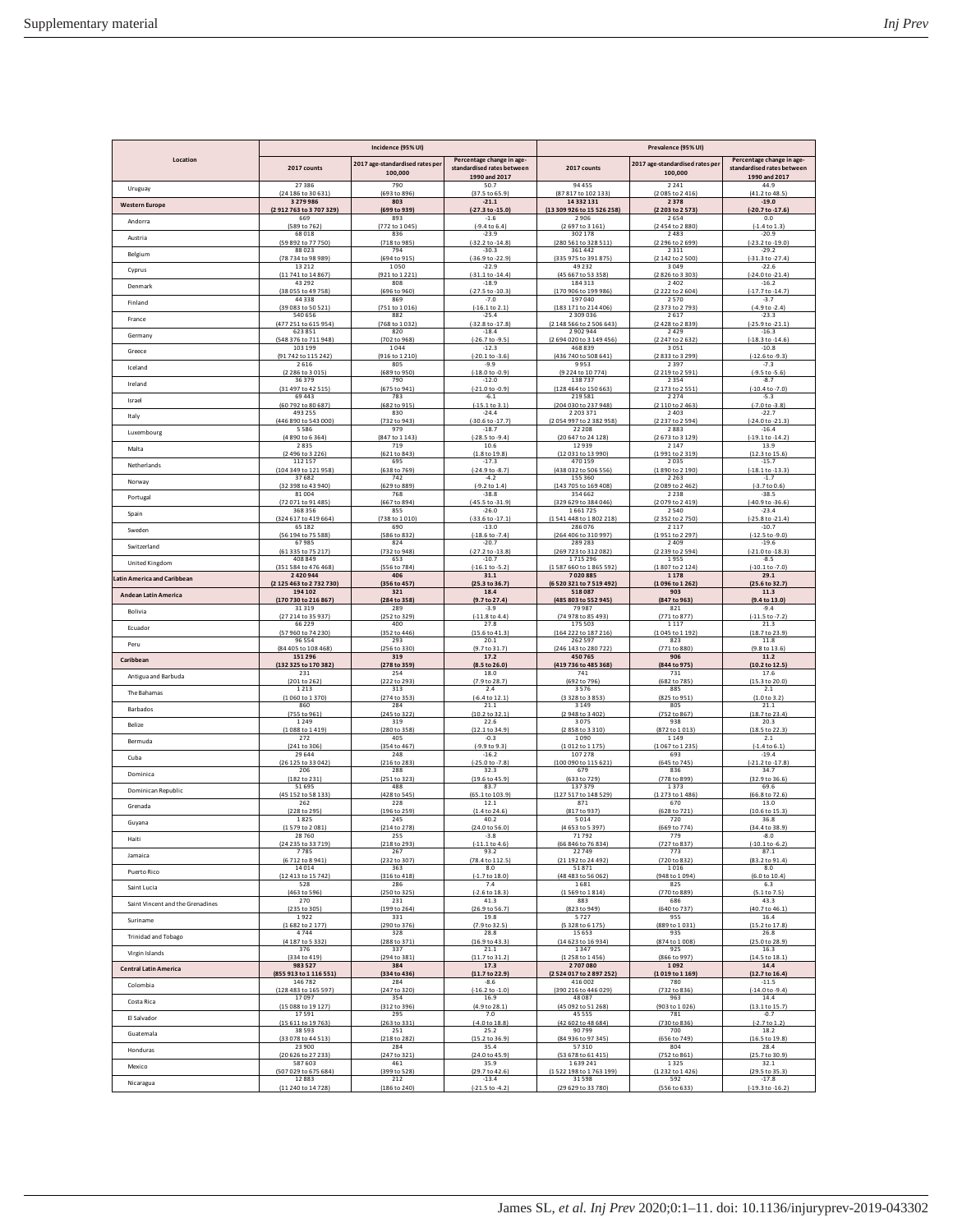| Location<br>Percentage change in age-<br>Percentage change in age-<br>2017 age-standardised rates per<br>2017 age-standardised rates per<br>2017 counts<br>standardised rates between<br>2017 counts<br>standardised rates between<br>100,000<br>100,000<br>1990 and 2017<br>1990 and 2017<br>27386<br>790<br>50.7<br>94 455<br>2241<br>44.9<br>Uruguay<br>(693 to 896)<br>(37.5 to 65.9)<br>(2085 to 2416)<br>(41.2 to 48.5)<br>(24 186 to 30 631)<br>(87817 to 102133)<br>3 2 7 9 9 8 6<br>803<br>$-21.1$<br>14 332 131<br>2378<br>$-19.0$<br><b>Western Europe</b><br>(2912763 to 3707329)<br>(699 to 939)<br>(13 309 926 to 15 526 258)<br>(-20.7 to -17.6)<br>(-27.3 to -15.0)<br>(2 203 to 2 573)<br>893<br>$-1.6$<br>2654<br>669<br>2906<br>0.0<br>Andorra<br>(589 to 762)<br>(772 to 1045<br>$(-9.4 \text{ to } 6.4)$<br>(2 697 to 3 161<br>(2454 to 2880<br>$[-1.4 \text{ to } 1.3]$<br>68018<br>836<br>$-23.9$<br>302 178<br>2483<br>$-20.9$<br>Austria<br>(280 561 to 328 511)<br>(59 892 to 77 750)<br>(718 to 985)<br>$(-32.2 \text{ to } -14.8)$<br>(2 296 to 2 699)<br>$(-23.2$ to $-19.0)$<br>88023<br>794<br>$-30.3$<br>361442<br>2311<br>$-29.2$<br>Belgium<br>(78 734 to 98 989)<br>(694 to 915)<br>(-36.9 to -22.9)<br>(335 975 to 391 875)<br>(2 142 to 2 500)<br>(-31.3 to -27.4)<br>13212<br>1050<br>$-22.9$<br>49 2 3 2<br>3049<br>$-22.6$<br>Cyprus<br>(11741 to 14867)<br>(921 to 1 221)<br>(45 667 to 53 358)<br>(2826 to 3303)<br>$(-24.0 to -21.4)$<br>$(-31.1$ to $-14.4)$<br>43292<br>808<br>$-18.9$<br>184313<br>2402<br>$-16.2$<br>Denmark<br>(38 055 to 49 758)<br>$(-27.5 \text{ to } -10.3)$<br>(170 906 to 199 986)<br>(696 to 960)<br>(2222 to 2604)<br>$(-17.7)$ to $-14.7$<br>44338<br>869<br>$-7.0$<br>197040<br>2570<br>$-3.7$<br>Finland<br>(39 083 to 50 521)<br>(751 to 1016)<br>(183 171 to 214 406)<br>(2373 to 2793)<br>$(-16.1$ to $2.1)$<br>$(-4.9 to -2.4)$<br>540 656<br>882<br>$-25.4$<br>2 309 036<br>2617<br>$-23.3$<br>France<br>(768 to 1032)<br>(477 251 to 615 954)<br>(-32.8 to -17.8)<br>(2 148 566 to 2 506 643)<br>(2428 to 2839)<br>(-25.9 to -21.1)<br>623851<br>820<br>$-18.4$<br>2902944<br>2429<br>$-16.3$<br>Germany<br>(548 376 to 711 948)<br>(702 to 968)<br>(2 694 020 to 3 149 456)<br>$(-18.3 to -14.6)$<br>$(-26.7 to -9.5)$<br>(2247 to 2632)<br>103 199<br>1044<br>$-12.3$<br>468839<br>3051<br>$-10.8$<br>Greece<br>(91 742 to 115 242<br>(916 to 1 210<br>$(-20.1 to -3.6)$<br>(436 740 to 508 641<br>2833to 3299<br>$(-12.6 to -9.3)$<br>2616<br>805<br>$-9.9$<br>9953<br>2397<br>$-7.3$<br>Iceland<br>(689 to 950)<br>(9224 to 10774)<br>(2 219 to 2 591)<br>(2 286 to 3 015)<br>$(-18.0 to -0.9)$<br>$(-9.5 to -5.6)$<br>36379<br>790<br>$-12.0$<br>138737<br>2354<br>$-8.7$<br>Ireland<br>(31 497 to 42 515)<br>(675 to 941)<br>$(-21.0 to -0.9)$<br>(128 464 to 150 663)<br>(2173 to 2551<br>$(-10.4 to -7.0)$<br>69443<br>783<br>$-6.1$<br>219581<br>2274<br>$-5.3$<br>Israel<br>(60 792 to 80 687)<br>(682 to 915)<br>$(-15.1 to 3.1)$<br>(204 030 to 237 948)<br>(2 110 to 2 463)<br>(-7.0 to -3.8)<br>493 255<br>830<br>$-24.4$<br>2 2 0 3 3 7 1<br>2403<br>$-22.7$<br>Italy<br>$(-24.0 \text{ to } -21.3)$<br>(446 890 to 543 000)<br>(732 to 943)<br>$(-30.6 \text{ to } -17.7)$<br>(2054 997 to 2382 958)<br>(2 237 to 2 594)<br>5586<br>979<br>$-18.7$<br>22 208<br>2883<br>$-16.4$<br>Luxembourg<br>(4 890 to 6 364)<br>(847 to 1 143)<br>(-28.5 to -9.4)<br>(20 647 to 24 128)<br>(2673 to 3129)<br>$(-19.1 to -14.2)$<br>2835<br>719<br>10.6<br>12939<br>2 1 4 7<br>13.9<br>Malta<br>(2 496 to 3 226)<br>(621 to 843)<br>(1.8 to 19.8)<br>(12 031 to 13 990)<br>(1991 to 2319)<br>(12.3 to 15.6)<br>112 157<br>695<br>$-17.3$<br>470 159<br>2035<br>$-15.7$<br>Netherlands<br>(104 349 to 121 958)<br>(638 to 769)<br>$(-24.9 to -8.7)$<br>(438 032 to 506 556)<br>(1890 to 2190)<br>$(-18.1 to -13.3)$<br>37682<br>742<br>$-4.2$<br>155 360<br>2 2 6 3<br>$-1.7$<br>Norway<br>(32 398 to 43 940)<br>(629 to 889)<br>$(-9.2 \text{ to } 1.4)$<br>(143 705 to 169 408)<br>(2089 to 2462)<br>$(-3.7 to 0.6)$<br>81004<br>768<br>$-38.8$<br>354 662<br>2 2 3 8<br>$-38.5$<br>Portugal<br>$(-40.9 to -36.6)$<br>(72 071 to 91 485)<br>(667 to 894)<br>$(-45.5 to -31.9)$<br>(329 629 to 384 046)<br>(2079 to 2419)<br>368 356<br>855<br>$-26.0$<br>1661725<br>2540<br>$-23.4$<br>Spain<br>(324 617 to 419 664)<br>(738 to 1010)<br>$(-33.6 \text{ to } -17.1)$<br>(1541 448 to 1802 218)<br>(2352 to 2750)<br>(-25.8 to -21.4)<br>$-10.7$<br>65182<br>690<br>$-13.0$<br>286076<br>2 1 1 7<br>Sweden<br>(56 194 to 75 588)<br>(586 to 832)<br>$(-18.6 \text{ to } -7.4)$<br>(264 406 to 310 997)<br>(1951 to 2 297)<br>$(-12.5 to -9.0)$<br>824<br>2409<br>67985<br>$-20.7$<br>289 283<br>$-19.6$<br>Switzerland<br>(61 335 to 75 217)<br>(732 to 948)<br>$(-27.2$ to $-13.8)$<br>(269 723 to 312 082)<br>(2 239 to 2 594)<br>$(-21.0 to -18.3)$<br>408 849<br>653<br>$-10.7$<br>1715296<br>1955<br>$-8.5$<br>United Kingdom<br>(351 584 to 476 468)<br>(556 to 784)<br>$(-16.1 to -5.2)$<br>(1587 660 to 1865 592<br>(1807 to 2124)<br>$(-10.1 to -7.0)$<br>2420944<br>406<br>31.1<br>7020885<br>1178<br>29.1<br>atin America and Caribbean<br>(2125 463 to 2732 730)<br>(6 520 321 to 7 519 492)<br>356 to 457<br>(25.3 to 36.7)<br>(1096 to 1262)<br>(25.6 to 32.7<br>194 102<br>321<br>18.4<br>518087<br>903<br>11.3<br>Andean Latin America<br>730 to 216 867<br>(284 to 358)<br>(9.7 to 27.4)<br>(485 803 to 552 945)<br>(847 to 963)<br>(9.4 to 13.0)<br>$-3.9$<br>79987<br>821<br>$-9.4$<br>31319<br>289<br><b>Bolivia</b><br>(27 214 to 35 937)<br>(252 to 329)<br>$(-11.8 to 4.4)$<br>(74 978 to 85 493)<br>(771 to 877)<br>$(-11.5 to -7.2)$<br>66229<br>400<br>27.8<br>175 503<br>1117<br>21.3<br>Ecuador<br>(352 to 446)<br>$(15.6 \text{ to } 41.3)$<br>(1045 to 1192)<br>(18.7 to 23.9)<br>(57 960 to 74 230)<br>(164 222 to 187 216)<br>96554<br>293<br>20.1<br>262 597<br>823<br>11.8<br>Peru<br>(84 405 to 108 468)<br>(256 to 330)<br>(9.7 to 31.7)<br>(246 143 to 280 722)<br>(771 to 880)<br>(9.8 to 13.6)<br>151 296<br>319<br>17.2<br>450765<br>906<br>11.2<br>Caribbean<br>(132 325 to 170 382)<br>(419 736 to 485 368)<br>(278 to 359<br>(8.5 to 26.0)<br>(844 to 975)<br>(10.2 to 12.5)<br>231<br>254<br>18.0<br>741<br>731<br>17.6<br>Antigua and Barbuda<br>(201 to 262)<br>(222 to 293)<br>(682 to 785)<br>(15.3 to 20.0)<br>(7.9 to 28.7)<br>(692 to 796<br>1213<br>313<br>2.4<br>3576<br>885<br>2.1<br>The Bahamas<br>(1060 to 1370)<br>(274 to 353)<br>(3328 to 3853)<br>(825 to 951)<br>(1.0 to 3.2)<br>(-6.4 to 12.1)<br>860<br>284<br>21.1<br>3 1 4 9<br>805<br>21.1<br>Barbados<br>(2 948 to 3 402)<br>(755 to 961)<br>(245 to 322)<br>(10.2 to 32.1)<br>(752 to 867)<br>(18.7 to 23.4)<br>1249<br>319<br>22.6<br>3075<br>938<br>20.3<br>Belize<br>(280 to 358<br>(2 858 to 3 310)<br>(18.5 to 22.3)<br>(1088 to 1419)<br>(12.1 to 34.9)<br>(872 to 1013)<br>272<br>405<br>$-0.3$<br>1090<br>1149<br>2.1<br>Bermuda<br>(241 to 306)<br>(354 to 467)<br>$-9.9$ to 9.3<br>(1012 to 1175)<br>(1067 to 1235)<br>$(-1.4 to 6.1)$<br>29644<br>248<br>$-16.2$<br>107 278<br>693<br>$-19.4$<br>Cuba<br>(100 090 to 115 621)<br>(26 125 to 33 042)<br>(216 to 283)<br>$(-25.0 to -7.8)$<br>(645 to 745)<br>(-21.2 to -17.8)<br>206<br>288<br>32.3<br>679<br>836<br>34.7<br>Dominica<br>(182 to 231)<br>(251 to 323)<br>(19.6 to 45.9)<br>(633 to 729)<br>(778 to 899)<br>$(32.9)$ to $36.6$<br>51695<br>488<br>83.7<br>137379<br>1373<br>69.6<br>Dominican Republic<br>(45 152 to 58 133)<br>(428 to 545)<br>(65.1 to 103.9)<br>(127 517 to 148 529)<br>(1273 to 1486)<br>(66.8 to 72.6)<br>228<br>12.1<br>871<br>670<br>13.0<br>262<br>Grenada<br>(228 to 295)<br>(196 to 259)<br>(817 to 937<br>(628 to 721)<br>(10.6 to 15.3)<br>(1.41024.6)<br>1825<br>245<br>40.2<br>5014<br>720<br>36.8<br>Guyana<br>(1579 to 2081)<br>(24.0 to 56.0)<br>(4653 to 5397)<br>(669 to 774)<br>(34.4 to 38.9)<br>(214 to 278)<br>28760<br>255<br>$-3.8$<br>71 792<br>779<br>$-8.0$<br>Haiti<br>(24 235 to 33 719)<br>(218 to 293)<br>$(-11.1104.6)$<br>(66 846 to 76 834)<br>(727 to 837)<br>$(-10.1 to -6.2)$<br>7785<br>267<br>93.2<br>22749<br>773<br>87.1<br>Jamaica<br>(232 to 307)<br>(78.4 to 112.5)<br>(21 192 to 24 492)<br>(720 to 832)<br>(83.2 to 91.4)<br>(6712 to 8941)<br>14014<br>363<br>8.0<br>51871<br>1016<br>8.0<br>Puerto Rico<br>(316 to 418)<br>(48 483 to 56 062)<br>(948 to 1094)<br>(6.0 to 10.4)<br>(12 413 to 15 742)<br>$(-1.7 to 18.0)$<br>528<br>286<br>7.4<br>1681<br>825<br>6.3<br>Saint Lucia<br>(250 to 325)<br>(5.1 to 7.5)<br>(463 to 596)<br>$(-2.6 \text{ to } 18.3)$<br>(1569 to 1814)<br>(770 to 889)<br>270<br>231<br>41.3<br>883<br>686<br>43.3<br>Saint Vincent and the Grenadines<br>(235 to 305)<br>(199 to 264)<br>(26.9 to 56.7)<br>(823 to 949)<br>(640 to 737)<br>(40.7 to 46.1)<br>1922<br>331<br>19.8<br>5727<br>955<br>16.4<br>Suriname<br>(1682 to 2177)<br>(290 to 376)<br>(7.9 to 32.5)<br>(5 328 to 6 175)<br>(889 to 1031)<br>(15.2 to 17.8)<br>4744<br>328<br>28.8<br>15653<br>935<br>26.8<br><b>Trinidad and Tobago</b><br>(288 to 371)<br>(16.9 to 43.3)<br>(874 to 1008)<br>(25.0 to 28.9)<br>(4 187 to 5 332)<br>(14 623 to 16 934)<br>376<br>337<br>21.1<br>1347<br>925<br>16.3<br>Virgin Islands<br>(334 to 419)<br>(294 to 381)<br>(11.7 to 31.2)<br>(1258 to 1456)<br>(866 to 997)<br>(14.5 to 18.1)<br>983527<br>17.3<br>2707080<br>384<br>1092<br>14.4<br><b>Central Latin America</b><br>(855 913 to 1 116 551)<br>(334 to 436)<br>(11.7 to 22.9)<br>(2524 017 to 2897 252)<br>(1019 to 1169)<br>(12.7 to 16.4)<br>416 002<br>780<br>$-11.5$<br>146 782<br>284<br>-8.6<br>Colombia<br>(128 483 to 165 597)<br>(247 to 320)<br>$(-16.2 \text{ to } -1.0)$<br>(390 216 to 446 029)<br>(732 to 836)<br>$(-14.0 to -9.4)$<br>48 087<br>17097<br>354<br>16.9<br>963<br>14.4<br>Costa Rica<br>(15 088 to 19 127)<br>(312 to 396)<br>(4.9 to 28.1)<br>(45 092 to 51 268)<br>(903 to 1026)<br>(13.1 to 15.7)<br>17591<br>295<br>7.0<br>45 5 5 5<br>781<br>$-0.7$<br>El Salvador<br>(15 611 to 19 763)<br>(263 to 331)<br>$(-4.0 to 18.8)$<br>(42 602 to 48 684)<br>(730 to 836)<br>$(-2.7 to 1.2)$<br>90799<br>18.2<br>38593<br>251<br>25.2<br>700<br>Guatemala<br>(33 078 to 44 513)<br>(218 to 282)<br>(15.2 to 36.9)<br>(84 936 to 97 345)<br>(656 to 749)<br>(16.5 to 19.8)<br>23900<br>284<br>35.4<br>57310<br>28.4<br>804<br>Honduras<br>(20 626 to 27 233)<br>(247 to 321)<br>(24.0 to 45.9)<br>(53 678 to 61 415)<br>(752 to 861)<br>(25.7 to 30.9)<br>587603<br>461<br>35.9<br>1639241<br>1325<br>32.1<br>Mexico<br>(507 029 to 675 684)<br>(399 to 528)<br>(29.7 to 42.6)<br>(1522 198 to 1763 199)<br>(1232 to 1426)<br>(29.5 to 35.3)<br>12883<br>212<br>$-13.4$<br>31598<br>592<br>$-17.8$<br>Nicaragua<br>(11 240 to 14 728)<br>(186 to 240)<br>$(-21.5 \text{ to } -4.2)$<br>(29 629 to 33 780)<br>(556 to 633)<br>$(-19.3 to -16.2)$ | Incidence (95% UI) |  | Prevalence (95% UI) |  |  |
|----------------------------------------------------------------------------------------------------------------------------------------------------------------------------------------------------------------------------------------------------------------------------------------------------------------------------------------------------------------------------------------------------------------------------------------------------------------------------------------------------------------------------------------------------------------------------------------------------------------------------------------------------------------------------------------------------------------------------------------------------------------------------------------------------------------------------------------------------------------------------------------------------------------------------------------------------------------------------------------------------------------------------------------------------------------------------------------------------------------------------------------------------------------------------------------------------------------------------------------------------------------------------------------------------------------------------------------------------------------------------------------------------------------------------------------------------------------------------------------------------------------------------------------------------------------------------------------------------------------------------------------------------------------------------------------------------------------------------------------------------------------------------------------------------------------------------------------------------------------------------------------------------------------------------------------------------------------------------------------------------------------------------------------------------------------------------------------------------------------------------------------------------------------------------------------------------------------------------------------------------------------------------------------------------------------------------------------------------------------------------------------------------------------------------------------------------------------------------------------------------------------------------------------------------------------------------------------------------------------------------------------------------------------------------------------------------------------------------------------------------------------------------------------------------------------------------------------------------------------------------------------------------------------------------------------------------------------------------------------------------------------------------------------------------------------------------------------------------------------------------------------------------------------------------------------------------------------------------------------------------------------------------------------------------------------------------------------------------------------------------------------------------------------------------------------------------------------------------------------------------------------------------------------------------------------------------------------------------------------------------------------------------------------------------------------------------------------------------------------------------------------------------------------------------------------------------------------------------------------------------------------------------------------------------------------------------------------------------------------------------------------------------------------------------------------------------------------------------------------------------------------------------------------------------------------------------------------------------------------------------------------------------------------------------------------------------------------------------------------------------------------------------------------------------------------------------------------------------------------------------------------------------------------------------------------------------------------------------------------------------------------------------------------------------------------------------------------------------------------------------------------------------------------------------------------------------------------------------------------------------------------------------------------------------------------------------------------------------------------------------------------------------------------------------------------------------------------------------------------------------------------------------------------------------------------------------------------------------------------------------------------------------------------------------------------------------------------------------------------------------------------------------------------------------------------------------------------------------------------------------------------------------------------------------------------------------------------------------------------------------------------------------------------------------------------------------------------------------------------------------------------------------------------------------------------------------------------------------------------------------------------------------------------------------------------------------------------------------------------------------------------------------------------------------------------------------------------------------------------------------------------------------------------------------------------------------------------------------------------------------------------------------------------------------------------------------------------------------------------------------------------------------------------------------------------------------------------------------------------------------------------------------------------------------------------------------------------------------------------------------------------------------------------------------------------------------------------------------------------------------------------------------------------------------------------------------------------------------------------------------------------------------------------------------------------------------------------------------------------------------------------------------------------------------------------------------------------------------------------------------------------------------------------------------------------------------------------------------------------------------------------------------------------------------------------------------------------------------------------------------------------------------------------------------------------------------------------------------------------------------------------------------------------------------------------------------------------------------------------------------------------------------------------------------------------------------------------------------------------------------------------------------------------------------------------------------------------------------------------------------------------------------------------------------------------------------------------------------------------------------------------------------------------------------------------------------------------------------------------------------------------------------------------------------------------------------------------------------------------------------------------------------------------------------------------------------------------------------------------------------------------------------------------------------------------------------------------------------------------------------------------------------------------------------------------------------------------------------------------------------------------------------------------------------------------------------------------------------------------------------------------------------------------------------------------------------------------------------------------------------------------------------------------------------------------------------------------------------------------------------------------------------------------------------------------------------------------------------------------------------------------------------------------------------------------------------------------------------------------------------------------------------------------------------------------------------------------------------------------------------------------------------------------------------------------------------------------------------------------------------------------------------------------------------------------------------------------------------------------------------------------------------------------------------------------------------------------------------------------------------------------------------------------------------------------------------------------------------------------------------------------------------------------------------------------------------------------------------------------------------------------------------------------------------------------------------------------------------------------------------------------------------------------------------------------------------------------------------------------------------------------------------------------------------------------------------------------------------------------------------------------------------------------------------------------------------------------------------------------------------------------------------------------------------------------------------------------------------------------------------------------------------------------------------------------------------------------------------------------------------------------------------------------------------------------------------------------------------------------------------------------------------------------------------------------------------------------------------------------------------------------------------|--------------------|--|---------------------|--|--|
|                                                                                                                                                                                                                                                                                                                                                                                                                                                                                                                                                                                                                                                                                                                                                                                                                                                                                                                                                                                                                                                                                                                                                                                                                                                                                                                                                                                                                                                                                                                                                                                                                                                                                                                                                                                                                                                                                                                                                                                                                                                                                                                                                                                                                                                                                                                                                                                                                                                                                                                                                                                                                                                                                                                                                                                                                                                                                                                                                                                                                                                                                                                                                                                                                                                                                                                                                                                                                                                                                                                                                                                                                                                                                                                                                                                                                                                                                                                                                                                                                                                                                                                                                                                                                                                                                                                                                                                                                                                                                                                                                                                                                                                                                                                                                                                                                                                                                                                                                                                                                                                                                                                                                                                                                                                                                                                                                                                                                                                                                                                                                                                                                                                                                                                                                                                                                                                                                                                                                                                                                                                                                                                                                                                                                                                                                                                                                                                                                                                                                                                                                                                                                                                                                                                                                                                                                                                                                                                                                                                                                                                                                                                                                                                                                                                                                                                                                                                                                                                                                                                                                                                                                                                                                                                                                                                                                                                                                                                                                                                                                                                                                                                                                                                                                                                                                                                                                                                                                                                                                                                                                                                                                                                                                                                                                                                                                                                                                                                                                                                                                                                                                                                                                                                                                                                                                                                                                                                                                                                                                                                                                                                                                                                                                                                                                                                                                                                                                                                                                                                                                                                                                                                                                                                                                                                                                                                                                                                                                                                                                                                                                                                                                                                                                                                                                                                                                                                                                                                                                                                                                            |                    |  |                     |  |  |
|                                                                                                                                                                                                                                                                                                                                                                                                                                                                                                                                                                                                                                                                                                                                                                                                                                                                                                                                                                                                                                                                                                                                                                                                                                                                                                                                                                                                                                                                                                                                                                                                                                                                                                                                                                                                                                                                                                                                                                                                                                                                                                                                                                                                                                                                                                                                                                                                                                                                                                                                                                                                                                                                                                                                                                                                                                                                                                                                                                                                                                                                                                                                                                                                                                                                                                                                                                                                                                                                                                                                                                                                                                                                                                                                                                                                                                                                                                                                                                                                                                                                                                                                                                                                                                                                                                                                                                                                                                                                                                                                                                                                                                                                                                                                                                                                                                                                                                                                                                                                                                                                                                                                                                                                                                                                                                                                                                                                                                                                                                                                                                                                                                                                                                                                                                                                                                                                                                                                                                                                                                                                                                                                                                                                                                                                                                                                                                                                                                                                                                                                                                                                                                                                                                                                                                                                                                                                                                                                                                                                                                                                                                                                                                                                                                                                                                                                                                                                                                                                                                                                                                                                                                                                                                                                                                                                                                                                                                                                                                                                                                                                                                                                                                                                                                                                                                                                                                                                                                                                                                                                                                                                                                                                                                                                                                                                                                                                                                                                                                                                                                                                                                                                                                                                                                                                                                                                                                                                                                                                                                                                                                                                                                                                                                                                                                                                                                                                                                                                                                                                                                                                                                                                                                                                                                                                                                                                                                                                                                                                                                                                                                                                                                                                                                                                                                                                                                                                                                                                                                                                                            |                    |  |                     |  |  |
|                                                                                                                                                                                                                                                                                                                                                                                                                                                                                                                                                                                                                                                                                                                                                                                                                                                                                                                                                                                                                                                                                                                                                                                                                                                                                                                                                                                                                                                                                                                                                                                                                                                                                                                                                                                                                                                                                                                                                                                                                                                                                                                                                                                                                                                                                                                                                                                                                                                                                                                                                                                                                                                                                                                                                                                                                                                                                                                                                                                                                                                                                                                                                                                                                                                                                                                                                                                                                                                                                                                                                                                                                                                                                                                                                                                                                                                                                                                                                                                                                                                                                                                                                                                                                                                                                                                                                                                                                                                                                                                                                                                                                                                                                                                                                                                                                                                                                                                                                                                                                                                                                                                                                                                                                                                                                                                                                                                                                                                                                                                                                                                                                                                                                                                                                                                                                                                                                                                                                                                                                                                                                                                                                                                                                                                                                                                                                                                                                                                                                                                                                                                                                                                                                                                                                                                                                                                                                                                                                                                                                                                                                                                                                                                                                                                                                                                                                                                                                                                                                                                                                                                                                                                                                                                                                                                                                                                                                                                                                                                                                                                                                                                                                                                                                                                                                                                                                                                                                                                                                                                                                                                                                                                                                                                                                                                                                                                                                                                                                                                                                                                                                                                                                                                                                                                                                                                                                                                                                                                                                                                                                                                                                                                                                                                                                                                                                                                                                                                                                                                                                                                                                                                                                                                                                                                                                                                                                                                                                                                                                                                                                                                                                                                                                                                                                                                                                                                                                                                                                                                                                            |                    |  |                     |  |  |
|                                                                                                                                                                                                                                                                                                                                                                                                                                                                                                                                                                                                                                                                                                                                                                                                                                                                                                                                                                                                                                                                                                                                                                                                                                                                                                                                                                                                                                                                                                                                                                                                                                                                                                                                                                                                                                                                                                                                                                                                                                                                                                                                                                                                                                                                                                                                                                                                                                                                                                                                                                                                                                                                                                                                                                                                                                                                                                                                                                                                                                                                                                                                                                                                                                                                                                                                                                                                                                                                                                                                                                                                                                                                                                                                                                                                                                                                                                                                                                                                                                                                                                                                                                                                                                                                                                                                                                                                                                                                                                                                                                                                                                                                                                                                                                                                                                                                                                                                                                                                                                                                                                                                                                                                                                                                                                                                                                                                                                                                                                                                                                                                                                                                                                                                                                                                                                                                                                                                                                                                                                                                                                                                                                                                                                                                                                                                                                                                                                                                                                                                                                                                                                                                                                                                                                                                                                                                                                                                                                                                                                                                                                                                                                                                                                                                                                                                                                                                                                                                                                                                                                                                                                                                                                                                                                                                                                                                                                                                                                                                                                                                                                                                                                                                                                                                                                                                                                                                                                                                                                                                                                                                                                                                                                                                                                                                                                                                                                                                                                                                                                                                                                                                                                                                                                                                                                                                                                                                                                                                                                                                                                                                                                                                                                                                                                                                                                                                                                                                                                                                                                                                                                                                                                                                                                                                                                                                                                                                                                                                                                                                                                                                                                                                                                                                                                                                                                                                                                                                                                                                                            |                    |  |                     |  |  |
|                                                                                                                                                                                                                                                                                                                                                                                                                                                                                                                                                                                                                                                                                                                                                                                                                                                                                                                                                                                                                                                                                                                                                                                                                                                                                                                                                                                                                                                                                                                                                                                                                                                                                                                                                                                                                                                                                                                                                                                                                                                                                                                                                                                                                                                                                                                                                                                                                                                                                                                                                                                                                                                                                                                                                                                                                                                                                                                                                                                                                                                                                                                                                                                                                                                                                                                                                                                                                                                                                                                                                                                                                                                                                                                                                                                                                                                                                                                                                                                                                                                                                                                                                                                                                                                                                                                                                                                                                                                                                                                                                                                                                                                                                                                                                                                                                                                                                                                                                                                                                                                                                                                                                                                                                                                                                                                                                                                                                                                                                                                                                                                                                                                                                                                                                                                                                                                                                                                                                                                                                                                                                                                                                                                                                                                                                                                                                                                                                                                                                                                                                                                                                                                                                                                                                                                                                                                                                                                                                                                                                                                                                                                                                                                                                                                                                                                                                                                                                                                                                                                                                                                                                                                                                                                                                                                                                                                                                                                                                                                                                                                                                                                                                                                                                                                                                                                                                                                                                                                                                                                                                                                                                                                                                                                                                                                                                                                                                                                                                                                                                                                                                                                                                                                                                                                                                                                                                                                                                                                                                                                                                                                                                                                                                                                                                                                                                                                                                                                                                                                                                                                                                                                                                                                                                                                                                                                                                                                                                                                                                                                                                                                                                                                                                                                                                                                                                                                                                                                                                                                                                            |                    |  |                     |  |  |
|                                                                                                                                                                                                                                                                                                                                                                                                                                                                                                                                                                                                                                                                                                                                                                                                                                                                                                                                                                                                                                                                                                                                                                                                                                                                                                                                                                                                                                                                                                                                                                                                                                                                                                                                                                                                                                                                                                                                                                                                                                                                                                                                                                                                                                                                                                                                                                                                                                                                                                                                                                                                                                                                                                                                                                                                                                                                                                                                                                                                                                                                                                                                                                                                                                                                                                                                                                                                                                                                                                                                                                                                                                                                                                                                                                                                                                                                                                                                                                                                                                                                                                                                                                                                                                                                                                                                                                                                                                                                                                                                                                                                                                                                                                                                                                                                                                                                                                                                                                                                                                                                                                                                                                                                                                                                                                                                                                                                                                                                                                                                                                                                                                                                                                                                                                                                                                                                                                                                                                                                                                                                                                                                                                                                                                                                                                                                                                                                                                                                                                                                                                                                                                                                                                                                                                                                                                                                                                                                                                                                                                                                                                                                                                                                                                                                                                                                                                                                                                                                                                                                                                                                                                                                                                                                                                                                                                                                                                                                                                                                                                                                                                                                                                                                                                                                                                                                                                                                                                                                                                                                                                                                                                                                                                                                                                                                                                                                                                                                                                                                                                                                                                                                                                                                                                                                                                                                                                                                                                                                                                                                                                                                                                                                                                                                                                                                                                                                                                                                                                                                                                                                                                                                                                                                                                                                                                                                                                                                                                                                                                                                                                                                                                                                                                                                                                                                                                                                                                                                                                                                                            |                    |  |                     |  |  |
|                                                                                                                                                                                                                                                                                                                                                                                                                                                                                                                                                                                                                                                                                                                                                                                                                                                                                                                                                                                                                                                                                                                                                                                                                                                                                                                                                                                                                                                                                                                                                                                                                                                                                                                                                                                                                                                                                                                                                                                                                                                                                                                                                                                                                                                                                                                                                                                                                                                                                                                                                                                                                                                                                                                                                                                                                                                                                                                                                                                                                                                                                                                                                                                                                                                                                                                                                                                                                                                                                                                                                                                                                                                                                                                                                                                                                                                                                                                                                                                                                                                                                                                                                                                                                                                                                                                                                                                                                                                                                                                                                                                                                                                                                                                                                                                                                                                                                                                                                                                                                                                                                                                                                                                                                                                                                                                                                                                                                                                                                                                                                                                                                                                                                                                                                                                                                                                                                                                                                                                                                                                                                                                                                                                                                                                                                                                                                                                                                                                                                                                                                                                                                                                                                                                                                                                                                                                                                                                                                                                                                                                                                                                                                                                                                                                                                                                                                                                                                                                                                                                                                                                                                                                                                                                                                                                                                                                                                                                                                                                                                                                                                                                                                                                                                                                                                                                                                                                                                                                                                                                                                                                                                                                                                                                                                                                                                                                                                                                                                                                                                                                                                                                                                                                                                                                                                                                                                                                                                                                                                                                                                                                                                                                                                                                                                                                                                                                                                                                                                                                                                                                                                                                                                                                                                                                                                                                                                                                                                                                                                                                                                                                                                                                                                                                                                                                                                                                                                                                                                                                                                            |                    |  |                     |  |  |
|                                                                                                                                                                                                                                                                                                                                                                                                                                                                                                                                                                                                                                                                                                                                                                                                                                                                                                                                                                                                                                                                                                                                                                                                                                                                                                                                                                                                                                                                                                                                                                                                                                                                                                                                                                                                                                                                                                                                                                                                                                                                                                                                                                                                                                                                                                                                                                                                                                                                                                                                                                                                                                                                                                                                                                                                                                                                                                                                                                                                                                                                                                                                                                                                                                                                                                                                                                                                                                                                                                                                                                                                                                                                                                                                                                                                                                                                                                                                                                                                                                                                                                                                                                                                                                                                                                                                                                                                                                                                                                                                                                                                                                                                                                                                                                                                                                                                                                                                                                                                                                                                                                                                                                                                                                                                                                                                                                                                                                                                                                                                                                                                                                                                                                                                                                                                                                                                                                                                                                                                                                                                                                                                                                                                                                                                                                                                                                                                                                                                                                                                                                                                                                                                                                                                                                                                                                                                                                                                                                                                                                                                                                                                                                                                                                                                                                                                                                                                                                                                                                                                                                                                                                                                                                                                                                                                                                                                                                                                                                                                                                                                                                                                                                                                                                                                                                                                                                                                                                                                                                                                                                                                                                                                                                                                                                                                                                                                                                                                                                                                                                                                                                                                                                                                                                                                                                                                                                                                                                                                                                                                                                                                                                                                                                                                                                                                                                                                                                                                                                                                                                                                                                                                                                                                                                                                                                                                                                                                                                                                                                                                                                                                                                                                                                                                                                                                                                                                                                                                                                                                                            |                    |  |                     |  |  |
|                                                                                                                                                                                                                                                                                                                                                                                                                                                                                                                                                                                                                                                                                                                                                                                                                                                                                                                                                                                                                                                                                                                                                                                                                                                                                                                                                                                                                                                                                                                                                                                                                                                                                                                                                                                                                                                                                                                                                                                                                                                                                                                                                                                                                                                                                                                                                                                                                                                                                                                                                                                                                                                                                                                                                                                                                                                                                                                                                                                                                                                                                                                                                                                                                                                                                                                                                                                                                                                                                                                                                                                                                                                                                                                                                                                                                                                                                                                                                                                                                                                                                                                                                                                                                                                                                                                                                                                                                                                                                                                                                                                                                                                                                                                                                                                                                                                                                                                                                                                                                                                                                                                                                                                                                                                                                                                                                                                                                                                                                                                                                                                                                                                                                                                                                                                                                                                                                                                                                                                                                                                                                                                                                                                                                                                                                                                                                                                                                                                                                                                                                                                                                                                                                                                                                                                                                                                                                                                                                                                                                                                                                                                                                                                                                                                                                                                                                                                                                                                                                                                                                                                                                                                                                                                                                                                                                                                                                                                                                                                                                                                                                                                                                                                                                                                                                                                                                                                                                                                                                                                                                                                                                                                                                                                                                                                                                                                                                                                                                                                                                                                                                                                                                                                                                                                                                                                                                                                                                                                                                                                                                                                                                                                                                                                                                                                                                                                                                                                                                                                                                                                                                                                                                                                                                                                                                                                                                                                                                                                                                                                                                                                                                                                                                                                                                                                                                                                                                                                                                                                                                            |                    |  |                     |  |  |
|                                                                                                                                                                                                                                                                                                                                                                                                                                                                                                                                                                                                                                                                                                                                                                                                                                                                                                                                                                                                                                                                                                                                                                                                                                                                                                                                                                                                                                                                                                                                                                                                                                                                                                                                                                                                                                                                                                                                                                                                                                                                                                                                                                                                                                                                                                                                                                                                                                                                                                                                                                                                                                                                                                                                                                                                                                                                                                                                                                                                                                                                                                                                                                                                                                                                                                                                                                                                                                                                                                                                                                                                                                                                                                                                                                                                                                                                                                                                                                                                                                                                                                                                                                                                                                                                                                                                                                                                                                                                                                                                                                                                                                                                                                                                                                                                                                                                                                                                                                                                                                                                                                                                                                                                                                                                                                                                                                                                                                                                                                                                                                                                                                                                                                                                                                                                                                                                                                                                                                                                                                                                                                                                                                                                                                                                                                                                                                                                                                                                                                                                                                                                                                                                                                                                                                                                                                                                                                                                                                                                                                                                                                                                                                                                                                                                                                                                                                                                                                                                                                                                                                                                                                                                                                                                                                                                                                                                                                                                                                                                                                                                                                                                                                                                                                                                                                                                                                                                                                                                                                                                                                                                                                                                                                                                                                                                                                                                                                                                                                                                                                                                                                                                                                                                                                                                                                                                                                                                                                                                                                                                                                                                                                                                                                                                                                                                                                                                                                                                                                                                                                                                                                                                                                                                                                                                                                                                                                                                                                                                                                                                                                                                                                                                                                                                                                                                                                                                                                                                                                                                                            |                    |  |                     |  |  |
|                                                                                                                                                                                                                                                                                                                                                                                                                                                                                                                                                                                                                                                                                                                                                                                                                                                                                                                                                                                                                                                                                                                                                                                                                                                                                                                                                                                                                                                                                                                                                                                                                                                                                                                                                                                                                                                                                                                                                                                                                                                                                                                                                                                                                                                                                                                                                                                                                                                                                                                                                                                                                                                                                                                                                                                                                                                                                                                                                                                                                                                                                                                                                                                                                                                                                                                                                                                                                                                                                                                                                                                                                                                                                                                                                                                                                                                                                                                                                                                                                                                                                                                                                                                                                                                                                                                                                                                                                                                                                                                                                                                                                                                                                                                                                                                                                                                                                                                                                                                                                                                                                                                                                                                                                                                                                                                                                                                                                                                                                                                                                                                                                                                                                                                                                                                                                                                                                                                                                                                                                                                                                                                                                                                                                                                                                                                                                                                                                                                                                                                                                                                                                                                                                                                                                                                                                                                                                                                                                                                                                                                                                                                                                                                                                                                                                                                                                                                                                                                                                                                                                                                                                                                                                                                                                                                                                                                                                                                                                                                                                                                                                                                                                                                                                                                                                                                                                                                                                                                                                                                                                                                                                                                                                                                                                                                                                                                                                                                                                                                                                                                                                                                                                                                                                                                                                                                                                                                                                                                                                                                                                                                                                                                                                                                                                                                                                                                                                                                                                                                                                                                                                                                                                                                                                                                                                                                                                                                                                                                                                                                                                                                                                                                                                                                                                                                                                                                                                                                                                                                                                            |                    |  |                     |  |  |
|                                                                                                                                                                                                                                                                                                                                                                                                                                                                                                                                                                                                                                                                                                                                                                                                                                                                                                                                                                                                                                                                                                                                                                                                                                                                                                                                                                                                                                                                                                                                                                                                                                                                                                                                                                                                                                                                                                                                                                                                                                                                                                                                                                                                                                                                                                                                                                                                                                                                                                                                                                                                                                                                                                                                                                                                                                                                                                                                                                                                                                                                                                                                                                                                                                                                                                                                                                                                                                                                                                                                                                                                                                                                                                                                                                                                                                                                                                                                                                                                                                                                                                                                                                                                                                                                                                                                                                                                                                                                                                                                                                                                                                                                                                                                                                                                                                                                                                                                                                                                                                                                                                                                                                                                                                                                                                                                                                                                                                                                                                                                                                                                                                                                                                                                                                                                                                                                                                                                                                                                                                                                                                                                                                                                                                                                                                                                                                                                                                                                                                                                                                                                                                                                                                                                                                                                                                                                                                                                                                                                                                                                                                                                                                                                                                                                                                                                                                                                                                                                                                                                                                                                                                                                                                                                                                                                                                                                                                                                                                                                                                                                                                                                                                                                                                                                                                                                                                                                                                                                                                                                                                                                                                                                                                                                                                                                                                                                                                                                                                                                                                                                                                                                                                                                                                                                                                                                                                                                                                                                                                                                                                                                                                                                                                                                                                                                                                                                                                                                                                                                                                                                                                                                                                                                                                                                                                                                                                                                                                                                                                                                                                                                                                                                                                                                                                                                                                                                                                                                                                                                                            |                    |  |                     |  |  |
|                                                                                                                                                                                                                                                                                                                                                                                                                                                                                                                                                                                                                                                                                                                                                                                                                                                                                                                                                                                                                                                                                                                                                                                                                                                                                                                                                                                                                                                                                                                                                                                                                                                                                                                                                                                                                                                                                                                                                                                                                                                                                                                                                                                                                                                                                                                                                                                                                                                                                                                                                                                                                                                                                                                                                                                                                                                                                                                                                                                                                                                                                                                                                                                                                                                                                                                                                                                                                                                                                                                                                                                                                                                                                                                                                                                                                                                                                                                                                                                                                                                                                                                                                                                                                                                                                                                                                                                                                                                                                                                                                                                                                                                                                                                                                                                                                                                                                                                                                                                                                                                                                                                                                                                                                                                                                                                                                                                                                                                                                                                                                                                                                                                                                                                                                                                                                                                                                                                                                                                                                                                                                                                                                                                                                                                                                                                                                                                                                                                                                                                                                                                                                                                                                                                                                                                                                                                                                                                                                                                                                                                                                                                                                                                                                                                                                                                                                                                                                                                                                                                                                                                                                                                                                                                                                                                                                                                                                                                                                                                                                                                                                                                                                                                                                                                                                                                                                                                                                                                                                                                                                                                                                                                                                                                                                                                                                                                                                                                                                                                                                                                                                                                                                                                                                                                                                                                                                                                                                                                                                                                                                                                                                                                                                                                                                                                                                                                                                                                                                                                                                                                                                                                                                                                                                                                                                                                                                                                                                                                                                                                                                                                                                                                                                                                                                                                                                                                                                                                                                                                                                            |                    |  |                     |  |  |
|                                                                                                                                                                                                                                                                                                                                                                                                                                                                                                                                                                                                                                                                                                                                                                                                                                                                                                                                                                                                                                                                                                                                                                                                                                                                                                                                                                                                                                                                                                                                                                                                                                                                                                                                                                                                                                                                                                                                                                                                                                                                                                                                                                                                                                                                                                                                                                                                                                                                                                                                                                                                                                                                                                                                                                                                                                                                                                                                                                                                                                                                                                                                                                                                                                                                                                                                                                                                                                                                                                                                                                                                                                                                                                                                                                                                                                                                                                                                                                                                                                                                                                                                                                                                                                                                                                                                                                                                                                                                                                                                                                                                                                                                                                                                                                                                                                                                                                                                                                                                                                                                                                                                                                                                                                                                                                                                                                                                                                                                                                                                                                                                                                                                                                                                                                                                                                                                                                                                                                                                                                                                                                                                                                                                                                                                                                                                                                                                                                                                                                                                                                                                                                                                                                                                                                                                                                                                                                                                                                                                                                                                                                                                                                                                                                                                                                                                                                                                                                                                                                                                                                                                                                                                                                                                                                                                                                                                                                                                                                                                                                                                                                                                                                                                                                                                                                                                                                                                                                                                                                                                                                                                                                                                                                                                                                                                                                                                                                                                                                                                                                                                                                                                                                                                                                                                                                                                                                                                                                                                                                                                                                                                                                                                                                                                                                                                                                                                                                                                                                                                                                                                                                                                                                                                                                                                                                                                                                                                                                                                                                                                                                                                                                                                                                                                                                                                                                                                                                                                                                                                                            |                    |  |                     |  |  |
|                                                                                                                                                                                                                                                                                                                                                                                                                                                                                                                                                                                                                                                                                                                                                                                                                                                                                                                                                                                                                                                                                                                                                                                                                                                                                                                                                                                                                                                                                                                                                                                                                                                                                                                                                                                                                                                                                                                                                                                                                                                                                                                                                                                                                                                                                                                                                                                                                                                                                                                                                                                                                                                                                                                                                                                                                                                                                                                                                                                                                                                                                                                                                                                                                                                                                                                                                                                                                                                                                                                                                                                                                                                                                                                                                                                                                                                                                                                                                                                                                                                                                                                                                                                                                                                                                                                                                                                                                                                                                                                                                                                                                                                                                                                                                                                                                                                                                                                                                                                                                                                                                                                                                                                                                                                                                                                                                                                                                                                                                                                                                                                                                                                                                                                                                                                                                                                                                                                                                                                                                                                                                                                                                                                                                                                                                                                                                                                                                                                                                                                                                                                                                                                                                                                                                                                                                                                                                                                                                                                                                                                                                                                                                                                                                                                                                                                                                                                                                                                                                                                                                                                                                                                                                                                                                                                                                                                                                                                                                                                                                                                                                                                                                                                                                                                                                                                                                                                                                                                                                                                                                                                                                                                                                                                                                                                                                                                                                                                                                                                                                                                                                                                                                                                                                                                                                                                                                                                                                                                                                                                                                                                                                                                                                                                                                                                                                                                                                                                                                                                                                                                                                                                                                                                                                                                                                                                                                                                                                                                                                                                                                                                                                                                                                                                                                                                                                                                                                                                                                                                                                            |                    |  |                     |  |  |
|                                                                                                                                                                                                                                                                                                                                                                                                                                                                                                                                                                                                                                                                                                                                                                                                                                                                                                                                                                                                                                                                                                                                                                                                                                                                                                                                                                                                                                                                                                                                                                                                                                                                                                                                                                                                                                                                                                                                                                                                                                                                                                                                                                                                                                                                                                                                                                                                                                                                                                                                                                                                                                                                                                                                                                                                                                                                                                                                                                                                                                                                                                                                                                                                                                                                                                                                                                                                                                                                                                                                                                                                                                                                                                                                                                                                                                                                                                                                                                                                                                                                                                                                                                                                                                                                                                                                                                                                                                                                                                                                                                                                                                                                                                                                                                                                                                                                                                                                                                                                                                                                                                                                                                                                                                                                                                                                                                                                                                                                                                                                                                                                                                                                                                                                                                                                                                                                                                                                                                                                                                                                                                                                                                                                                                                                                                                                                                                                                                                                                                                                                                                                                                                                                                                                                                                                                                                                                                                                                                                                                                                                                                                                                                                                                                                                                                                                                                                                                                                                                                                                                                                                                                                                                                                                                                                                                                                                                                                                                                                                                                                                                                                                                                                                                                                                                                                                                                                                                                                                                                                                                                                                                                                                                                                                                                                                                                                                                                                                                                                                                                                                                                                                                                                                                                                                                                                                                                                                                                                                                                                                                                                                                                                                                                                                                                                                                                                                                                                                                                                                                                                                                                                                                                                                                                                                                                                                                                                                                                                                                                                                                                                                                                                                                                                                                                                                                                                                                                                                                                                                                            |                    |  |                     |  |  |
|                                                                                                                                                                                                                                                                                                                                                                                                                                                                                                                                                                                                                                                                                                                                                                                                                                                                                                                                                                                                                                                                                                                                                                                                                                                                                                                                                                                                                                                                                                                                                                                                                                                                                                                                                                                                                                                                                                                                                                                                                                                                                                                                                                                                                                                                                                                                                                                                                                                                                                                                                                                                                                                                                                                                                                                                                                                                                                                                                                                                                                                                                                                                                                                                                                                                                                                                                                                                                                                                                                                                                                                                                                                                                                                                                                                                                                                                                                                                                                                                                                                                                                                                                                                                                                                                                                                                                                                                                                                                                                                                                                                                                                                                                                                                                                                                                                                                                                                                                                                                                                                                                                                                                                                                                                                                                                                                                                                                                                                                                                                                                                                                                                                                                                                                                                                                                                                                                                                                                                                                                                                                                                                                                                                                                                                                                                                                                                                                                                                                                                                                                                                                                                                                                                                                                                                                                                                                                                                                                                                                                                                                                                                                                                                                                                                                                                                                                                                                                                                                                                                                                                                                                                                                                                                                                                                                                                                                                                                                                                                                                                                                                                                                                                                                                                                                                                                                                                                                                                                                                                                                                                                                                                                                                                                                                                                                                                                                                                                                                                                                                                                                                                                                                                                                                                                                                                                                                                                                                                                                                                                                                                                                                                                                                                                                                                                                                                                                                                                                                                                                                                                                                                                                                                                                                                                                                                                                                                                                                                                                                                                                                                                                                                                                                                                                                                                                                                                                                                                                                                                                                            |                    |  |                     |  |  |
|                                                                                                                                                                                                                                                                                                                                                                                                                                                                                                                                                                                                                                                                                                                                                                                                                                                                                                                                                                                                                                                                                                                                                                                                                                                                                                                                                                                                                                                                                                                                                                                                                                                                                                                                                                                                                                                                                                                                                                                                                                                                                                                                                                                                                                                                                                                                                                                                                                                                                                                                                                                                                                                                                                                                                                                                                                                                                                                                                                                                                                                                                                                                                                                                                                                                                                                                                                                                                                                                                                                                                                                                                                                                                                                                                                                                                                                                                                                                                                                                                                                                                                                                                                                                                                                                                                                                                                                                                                                                                                                                                                                                                                                                                                                                                                                                                                                                                                                                                                                                                                                                                                                                                                                                                                                                                                                                                                                                                                                                                                                                                                                                                                                                                                                                                                                                                                                                                                                                                                                                                                                                                                                                                                                                                                                                                                                                                                                                                                                                                                                                                                                                                                                                                                                                                                                                                                                                                                                                                                                                                                                                                                                                                                                                                                                                                                                                                                                                                                                                                                                                                                                                                                                                                                                                                                                                                                                                                                                                                                                                                                                                                                                                                                                                                                                                                                                                                                                                                                                                                                                                                                                                                                                                                                                                                                                                                                                                                                                                                                                                                                                                                                                                                                                                                                                                                                                                                                                                                                                                                                                                                                                                                                                                                                                                                                                                                                                                                                                                                                                                                                                                                                                                                                                                                                                                                                                                                                                                                                                                                                                                                                                                                                                                                                                                                                                                                                                                                                                                                                                                                            |                    |  |                     |  |  |
|                                                                                                                                                                                                                                                                                                                                                                                                                                                                                                                                                                                                                                                                                                                                                                                                                                                                                                                                                                                                                                                                                                                                                                                                                                                                                                                                                                                                                                                                                                                                                                                                                                                                                                                                                                                                                                                                                                                                                                                                                                                                                                                                                                                                                                                                                                                                                                                                                                                                                                                                                                                                                                                                                                                                                                                                                                                                                                                                                                                                                                                                                                                                                                                                                                                                                                                                                                                                                                                                                                                                                                                                                                                                                                                                                                                                                                                                                                                                                                                                                                                                                                                                                                                                                                                                                                                                                                                                                                                                                                                                                                                                                                                                                                                                                                                                                                                                                                                                                                                                                                                                                                                                                                                                                                                                                                                                                                                                                                                                                                                                                                                                                                                                                                                                                                                                                                                                                                                                                                                                                                                                                                                                                                                                                                                                                                                                                                                                                                                                                                                                                                                                                                                                                                                                                                                                                                                                                                                                                                                                                                                                                                                                                                                                                                                                                                                                                                                                                                                                                                                                                                                                                                                                                                                                                                                                                                                                                                                                                                                                                                                                                                                                                                                                                                                                                                                                                                                                                                                                                                                                                                                                                                                                                                                                                                                                                                                                                                                                                                                                                                                                                                                                                                                                                                                                                                                                                                                                                                                                                                                                                                                                                                                                                                                                                                                                                                                                                                                                                                                                                                                                                                                                                                                                                                                                                                                                                                                                                                                                                                                                                                                                                                                                                                                                                                                                                                                                                                                                                                                                                            |                    |  |                     |  |  |
|                                                                                                                                                                                                                                                                                                                                                                                                                                                                                                                                                                                                                                                                                                                                                                                                                                                                                                                                                                                                                                                                                                                                                                                                                                                                                                                                                                                                                                                                                                                                                                                                                                                                                                                                                                                                                                                                                                                                                                                                                                                                                                                                                                                                                                                                                                                                                                                                                                                                                                                                                                                                                                                                                                                                                                                                                                                                                                                                                                                                                                                                                                                                                                                                                                                                                                                                                                                                                                                                                                                                                                                                                                                                                                                                                                                                                                                                                                                                                                                                                                                                                                                                                                                                                                                                                                                                                                                                                                                                                                                                                                                                                                                                                                                                                                                                                                                                                                                                                                                                                                                                                                                                                                                                                                                                                                                                                                                                                                                                                                                                                                                                                                                                                                                                                                                                                                                                                                                                                                                                                                                                                                                                                                                                                                                                                                                                                                                                                                                                                                                                                                                                                                                                                                                                                                                                                                                                                                                                                                                                                                                                                                                                                                                                                                                                                                                                                                                                                                                                                                                                                                                                                                                                                                                                                                                                                                                                                                                                                                                                                                                                                                                                                                                                                                                                                                                                                                                                                                                                                                                                                                                                                                                                                                                                                                                                                                                                                                                                                                                                                                                                                                                                                                                                                                                                                                                                                                                                                                                                                                                                                                                                                                                                                                                                                                                                                                                                                                                                                                                                                                                                                                                                                                                                                                                                                                                                                                                                                                                                                                                                                                                                                                                                                                                                                                                                                                                                                                                                                                                                                            |                    |  |                     |  |  |
|                                                                                                                                                                                                                                                                                                                                                                                                                                                                                                                                                                                                                                                                                                                                                                                                                                                                                                                                                                                                                                                                                                                                                                                                                                                                                                                                                                                                                                                                                                                                                                                                                                                                                                                                                                                                                                                                                                                                                                                                                                                                                                                                                                                                                                                                                                                                                                                                                                                                                                                                                                                                                                                                                                                                                                                                                                                                                                                                                                                                                                                                                                                                                                                                                                                                                                                                                                                                                                                                                                                                                                                                                                                                                                                                                                                                                                                                                                                                                                                                                                                                                                                                                                                                                                                                                                                                                                                                                                                                                                                                                                                                                                                                                                                                                                                                                                                                                                                                                                                                                                                                                                                                                                                                                                                                                                                                                                                                                                                                                                                                                                                                                                                                                                                                                                                                                                                                                                                                                                                                                                                                                                                                                                                                                                                                                                                                                                                                                                                                                                                                                                                                                                                                                                                                                                                                                                                                                                                                                                                                                                                                                                                                                                                                                                                                                                                                                                                                                                                                                                                                                                                                                                                                                                                                                                                                                                                                                                                                                                                                                                                                                                                                                                                                                                                                                                                                                                                                                                                                                                                                                                                                                                                                                                                                                                                                                                                                                                                                                                                                                                                                                                                                                                                                                                                                                                                                                                                                                                                                                                                                                                                                                                                                                                                                                                                                                                                                                                                                                                                                                                                                                                                                                                                                                                                                                                                                                                                                                                                                                                                                                                                                                                                                                                                                                                                                                                                                                                                                                                                                                            |                    |  |                     |  |  |
|                                                                                                                                                                                                                                                                                                                                                                                                                                                                                                                                                                                                                                                                                                                                                                                                                                                                                                                                                                                                                                                                                                                                                                                                                                                                                                                                                                                                                                                                                                                                                                                                                                                                                                                                                                                                                                                                                                                                                                                                                                                                                                                                                                                                                                                                                                                                                                                                                                                                                                                                                                                                                                                                                                                                                                                                                                                                                                                                                                                                                                                                                                                                                                                                                                                                                                                                                                                                                                                                                                                                                                                                                                                                                                                                                                                                                                                                                                                                                                                                                                                                                                                                                                                                                                                                                                                                                                                                                                                                                                                                                                                                                                                                                                                                                                                                                                                                                                                                                                                                                                                                                                                                                                                                                                                                                                                                                                                                                                                                                                                                                                                                                                                                                                                                                                                                                                                                                                                                                                                                                                                                                                                                                                                                                                                                                                                                                                                                                                                                                                                                                                                                                                                                                                                                                                                                                                                                                                                                                                                                                                                                                                                                                                                                                                                                                                                                                                                                                                                                                                                                                                                                                                                                                                                                                                                                                                                                                                                                                                                                                                                                                                                                                                                                                                                                                                                                                                                                                                                                                                                                                                                                                                                                                                                                                                                                                                                                                                                                                                                                                                                                                                                                                                                                                                                                                                                                                                                                                                                                                                                                                                                                                                                                                                                                                                                                                                                                                                                                                                                                                                                                                                                                                                                                                                                                                                                                                                                                                                                                                                                                                                                                                                                                                                                                                                                                                                                                                                                                                                                                                            |                    |  |                     |  |  |
|                                                                                                                                                                                                                                                                                                                                                                                                                                                                                                                                                                                                                                                                                                                                                                                                                                                                                                                                                                                                                                                                                                                                                                                                                                                                                                                                                                                                                                                                                                                                                                                                                                                                                                                                                                                                                                                                                                                                                                                                                                                                                                                                                                                                                                                                                                                                                                                                                                                                                                                                                                                                                                                                                                                                                                                                                                                                                                                                                                                                                                                                                                                                                                                                                                                                                                                                                                                                                                                                                                                                                                                                                                                                                                                                                                                                                                                                                                                                                                                                                                                                                                                                                                                                                                                                                                                                                                                                                                                                                                                                                                                                                                                                                                                                                                                                                                                                                                                                                                                                                                                                                                                                                                                                                                                                                                                                                                                                                                                                                                                                                                                                                                                                                                                                                                                                                                                                                                                                                                                                                                                                                                                                                                                                                                                                                                                                                                                                                                                                                                                                                                                                                                                                                                                                                                                                                                                                                                                                                                                                                                                                                                                                                                                                                                                                                                                                                                                                                                                                                                                                                                                                                                                                                                                                                                                                                                                                                                                                                                                                                                                                                                                                                                                                                                                                                                                                                                                                                                                                                                                                                                                                                                                                                                                                                                                                                                                                                                                                                                                                                                                                                                                                                                                                                                                                                                                                                                                                                                                                                                                                                                                                                                                                                                                                                                                                                                                                                                                                                                                                                                                                                                                                                                                                                                                                                                                                                                                                                                                                                                                                                                                                                                                                                                                                                                                                                                                                                                                                                                                                                            |                    |  |                     |  |  |
|                                                                                                                                                                                                                                                                                                                                                                                                                                                                                                                                                                                                                                                                                                                                                                                                                                                                                                                                                                                                                                                                                                                                                                                                                                                                                                                                                                                                                                                                                                                                                                                                                                                                                                                                                                                                                                                                                                                                                                                                                                                                                                                                                                                                                                                                                                                                                                                                                                                                                                                                                                                                                                                                                                                                                                                                                                                                                                                                                                                                                                                                                                                                                                                                                                                                                                                                                                                                                                                                                                                                                                                                                                                                                                                                                                                                                                                                                                                                                                                                                                                                                                                                                                                                                                                                                                                                                                                                                                                                                                                                                                                                                                                                                                                                                                                                                                                                                                                                                                                                                                                                                                                                                                                                                                                                                                                                                                                                                                                                                                                                                                                                                                                                                                                                                                                                                                                                                                                                                                                                                                                                                                                                                                                                                                                                                                                                                                                                                                                                                                                                                                                                                                                                                                                                                                                                                                                                                                                                                                                                                                                                                                                                                                                                                                                                                                                                                                                                                                                                                                                                                                                                                                                                                                                                                                                                                                                                                                                                                                                                                                                                                                                                                                                                                                                                                                                                                                                                                                                                                                                                                                                                                                                                                                                                                                                                                                                                                                                                                                                                                                                                                                                                                                                                                                                                                                                                                                                                                                                                                                                                                                                                                                                                                                                                                                                                                                                                                                                                                                                                                                                                                                                                                                                                                                                                                                                                                                                                                                                                                                                                                                                                                                                                                                                                                                                                                                                                                                                                                                                                                            |                    |  |                     |  |  |
|                                                                                                                                                                                                                                                                                                                                                                                                                                                                                                                                                                                                                                                                                                                                                                                                                                                                                                                                                                                                                                                                                                                                                                                                                                                                                                                                                                                                                                                                                                                                                                                                                                                                                                                                                                                                                                                                                                                                                                                                                                                                                                                                                                                                                                                                                                                                                                                                                                                                                                                                                                                                                                                                                                                                                                                                                                                                                                                                                                                                                                                                                                                                                                                                                                                                                                                                                                                                                                                                                                                                                                                                                                                                                                                                                                                                                                                                                                                                                                                                                                                                                                                                                                                                                                                                                                                                                                                                                                                                                                                                                                                                                                                                                                                                                                                                                                                                                                                                                                                                                                                                                                                                                                                                                                                                                                                                                                                                                                                                                                                                                                                                                                                                                                                                                                                                                                                                                                                                                                                                                                                                                                                                                                                                                                                                                                                                                                                                                                                                                                                                                                                                                                                                                                                                                                                                                                                                                                                                                                                                                                                                                                                                                                                                                                                                                                                                                                                                                                                                                                                                                                                                                                                                                                                                                                                                                                                                                                                                                                                                                                                                                                                                                                                                                                                                                                                                                                                                                                                                                                                                                                                                                                                                                                                                                                                                                                                                                                                                                                                                                                                                                                                                                                                                                                                                                                                                                                                                                                                                                                                                                                                                                                                                                                                                                                                                                                                                                                                                                                                                                                                                                                                                                                                                                                                                                                                                                                                                                                                                                                                                                                                                                                                                                                                                                                                                                                                                                                                                                                                                                            |                    |  |                     |  |  |
|                                                                                                                                                                                                                                                                                                                                                                                                                                                                                                                                                                                                                                                                                                                                                                                                                                                                                                                                                                                                                                                                                                                                                                                                                                                                                                                                                                                                                                                                                                                                                                                                                                                                                                                                                                                                                                                                                                                                                                                                                                                                                                                                                                                                                                                                                                                                                                                                                                                                                                                                                                                                                                                                                                                                                                                                                                                                                                                                                                                                                                                                                                                                                                                                                                                                                                                                                                                                                                                                                                                                                                                                                                                                                                                                                                                                                                                                                                                                                                                                                                                                                                                                                                                                                                                                                                                                                                                                                                                                                                                                                                                                                                                                                                                                                                                                                                                                                                                                                                                                                                                                                                                                                                                                                                                                                                                                                                                                                                                                                                                                                                                                                                                                                                                                                                                                                                                                                                                                                                                                                                                                                                                                                                                                                                                                                                                                                                                                                                                                                                                                                                                                                                                                                                                                                                                                                                                                                                                                                                                                                                                                                                                                                                                                                                                                                                                                                                                                                                                                                                                                                                                                                                                                                                                                                                                                                                                                                                                                                                                                                                                                                                                                                                                                                                                                                                                                                                                                                                                                                                                                                                                                                                                                                                                                                                                                                                                                                                                                                                                                                                                                                                                                                                                                                                                                                                                                                                                                                                                                                                                                                                                                                                                                                                                                                                                                                                                                                                                                                                                                                                                                                                                                                                                                                                                                                                                                                                                                                                                                                                                                                                                                                                                                                                                                                                                                                                                                                                                                                                                                                            |                    |  |                     |  |  |
|                                                                                                                                                                                                                                                                                                                                                                                                                                                                                                                                                                                                                                                                                                                                                                                                                                                                                                                                                                                                                                                                                                                                                                                                                                                                                                                                                                                                                                                                                                                                                                                                                                                                                                                                                                                                                                                                                                                                                                                                                                                                                                                                                                                                                                                                                                                                                                                                                                                                                                                                                                                                                                                                                                                                                                                                                                                                                                                                                                                                                                                                                                                                                                                                                                                                                                                                                                                                                                                                                                                                                                                                                                                                                                                                                                                                                                                                                                                                                                                                                                                                                                                                                                                                                                                                                                                                                                                                                                                                                                                                                                                                                                                                                                                                                                                                                                                                                                                                                                                                                                                                                                                                                                                                                                                                                                                                                                                                                                                                                                                                                                                                                                                                                                                                                                                                                                                                                                                                                                                                                                                                                                                                                                                                                                                                                                                                                                                                                                                                                                                                                                                                                                                                                                                                                                                                                                                                                                                                                                                                                                                                                                                                                                                                                                                                                                                                                                                                                                                                                                                                                                                                                                                                                                                                                                                                                                                                                                                                                                                                                                                                                                                                                                                                                                                                                                                                                                                                                                                                                                                                                                                                                                                                                                                                                                                                                                                                                                                                                                                                                                                                                                                                                                                                                                                                                                                                                                                                                                                                                                                                                                                                                                                                                                                                                                                                                                                                                                                                                                                                                                                                                                                                                                                                                                                                                                                                                                                                                                                                                                                                                                                                                                                                                                                                                                                                                                                                                                                                                                                                                            |                    |  |                     |  |  |
|                                                                                                                                                                                                                                                                                                                                                                                                                                                                                                                                                                                                                                                                                                                                                                                                                                                                                                                                                                                                                                                                                                                                                                                                                                                                                                                                                                                                                                                                                                                                                                                                                                                                                                                                                                                                                                                                                                                                                                                                                                                                                                                                                                                                                                                                                                                                                                                                                                                                                                                                                                                                                                                                                                                                                                                                                                                                                                                                                                                                                                                                                                                                                                                                                                                                                                                                                                                                                                                                                                                                                                                                                                                                                                                                                                                                                                                                                                                                                                                                                                                                                                                                                                                                                                                                                                                                                                                                                                                                                                                                                                                                                                                                                                                                                                                                                                                                                                                                                                                                                                                                                                                                                                                                                                                                                                                                                                                                                                                                                                                                                                                                                                                                                                                                                                                                                                                                                                                                                                                                                                                                                                                                                                                                                                                                                                                                                                                                                                                                                                                                                                                                                                                                                                                                                                                                                                                                                                                                                                                                                                                                                                                                                                                                                                                                                                                                                                                                                                                                                                                                                                                                                                                                                                                                                                                                                                                                                                                                                                                                                                                                                                                                                                                                                                                                                                                                                                                                                                                                                                                                                                                                                                                                                                                                                                                                                                                                                                                                                                                                                                                                                                                                                                                                                                                                                                                                                                                                                                                                                                                                                                                                                                                                                                                                                                                                                                                                                                                                                                                                                                                                                                                                                                                                                                                                                                                                                                                                                                                                                                                                                                                                                                                                                                                                                                                                                                                                                                                                                                                                                            |                    |  |                     |  |  |
|                                                                                                                                                                                                                                                                                                                                                                                                                                                                                                                                                                                                                                                                                                                                                                                                                                                                                                                                                                                                                                                                                                                                                                                                                                                                                                                                                                                                                                                                                                                                                                                                                                                                                                                                                                                                                                                                                                                                                                                                                                                                                                                                                                                                                                                                                                                                                                                                                                                                                                                                                                                                                                                                                                                                                                                                                                                                                                                                                                                                                                                                                                                                                                                                                                                                                                                                                                                                                                                                                                                                                                                                                                                                                                                                                                                                                                                                                                                                                                                                                                                                                                                                                                                                                                                                                                                                                                                                                                                                                                                                                                                                                                                                                                                                                                                                                                                                                                                                                                                                                                                                                                                                                                                                                                                                                                                                                                                                                                                                                                                                                                                                                                                                                                                                                                                                                                                                                                                                                                                                                                                                                                                                                                                                                                                                                                                                                                                                                                                                                                                                                                                                                                                                                                                                                                                                                                                                                                                                                                                                                                                                                                                                                                                                                                                                                                                                                                                                                                                                                                                                                                                                                                                                                                                                                                                                                                                                                                                                                                                                                                                                                                                                                                                                                                                                                                                                                                                                                                                                                                                                                                                                                                                                                                                                                                                                                                                                                                                                                                                                                                                                                                                                                                                                                                                                                                                                                                                                                                                                                                                                                                                                                                                                                                                                                                                                                                                                                                                                                                                                                                                                                                                                                                                                                                                                                                                                                                                                                                                                                                                                                                                                                                                                                                                                                                                                                                                                                                                                                                                                                            |                    |  |                     |  |  |
|                                                                                                                                                                                                                                                                                                                                                                                                                                                                                                                                                                                                                                                                                                                                                                                                                                                                                                                                                                                                                                                                                                                                                                                                                                                                                                                                                                                                                                                                                                                                                                                                                                                                                                                                                                                                                                                                                                                                                                                                                                                                                                                                                                                                                                                                                                                                                                                                                                                                                                                                                                                                                                                                                                                                                                                                                                                                                                                                                                                                                                                                                                                                                                                                                                                                                                                                                                                                                                                                                                                                                                                                                                                                                                                                                                                                                                                                                                                                                                                                                                                                                                                                                                                                                                                                                                                                                                                                                                                                                                                                                                                                                                                                                                                                                                                                                                                                                                                                                                                                                                                                                                                                                                                                                                                                                                                                                                                                                                                                                                                                                                                                                                                                                                                                                                                                                                                                                                                                                                                                                                                                                                                                                                                                                                                                                                                                                                                                                                                                                                                                                                                                                                                                                                                                                                                                                                                                                                                                                                                                                                                                                                                                                                                                                                                                                                                                                                                                                                                                                                                                                                                                                                                                                                                                                                                                                                                                                                                                                                                                                                                                                                                                                                                                                                                                                                                                                                                                                                                                                                                                                                                                                                                                                                                                                                                                                                                                                                                                                                                                                                                                                                                                                                                                                                                                                                                                                                                                                                                                                                                                                                                                                                                                                                                                                                                                                                                                                                                                                                                                                                                                                                                                                                                                                                                                                                                                                                                                                                                                                                                                                                                                                                                                                                                                                                                                                                                                                                                                                                                                                            |                    |  |                     |  |  |
|                                                                                                                                                                                                                                                                                                                                                                                                                                                                                                                                                                                                                                                                                                                                                                                                                                                                                                                                                                                                                                                                                                                                                                                                                                                                                                                                                                                                                                                                                                                                                                                                                                                                                                                                                                                                                                                                                                                                                                                                                                                                                                                                                                                                                                                                                                                                                                                                                                                                                                                                                                                                                                                                                                                                                                                                                                                                                                                                                                                                                                                                                                                                                                                                                                                                                                                                                                                                                                                                                                                                                                                                                                                                                                                                                                                                                                                                                                                                                                                                                                                                                                                                                                                                                                                                                                                                                                                                                                                                                                                                                                                                                                                                                                                                                                                                                                                                                                                                                                                                                                                                                                                                                                                                                                                                                                                                                                                                                                                                                                                                                                                                                                                                                                                                                                                                                                                                                                                                                                                                                                                                                                                                                                                                                                                                                                                                                                                                                                                                                                                                                                                                                                                                                                                                                                                                                                                                                                                                                                                                                                                                                                                                                                                                                                                                                                                                                                                                                                                                                                                                                                                                                                                                                                                                                                                                                                                                                                                                                                                                                                                                                                                                                                                                                                                                                                                                                                                                                                                                                                                                                                                                                                                                                                                                                                                                                                                                                                                                                                                                                                                                                                                                                                                                                                                                                                                                                                                                                                                                                                                                                                                                                                                                                                                                                                                                                                                                                                                                                                                                                                                                                                                                                                                                                                                                                                                                                                                                                                                                                                                                                                                                                                                                                                                                                                                                                                                                                                                                                                                                                            |                    |  |                     |  |  |
|                                                                                                                                                                                                                                                                                                                                                                                                                                                                                                                                                                                                                                                                                                                                                                                                                                                                                                                                                                                                                                                                                                                                                                                                                                                                                                                                                                                                                                                                                                                                                                                                                                                                                                                                                                                                                                                                                                                                                                                                                                                                                                                                                                                                                                                                                                                                                                                                                                                                                                                                                                                                                                                                                                                                                                                                                                                                                                                                                                                                                                                                                                                                                                                                                                                                                                                                                                                                                                                                                                                                                                                                                                                                                                                                                                                                                                                                                                                                                                                                                                                                                                                                                                                                                                                                                                                                                                                                                                                                                                                                                                                                                                                                                                                                                                                                                                                                                                                                                                                                                                                                                                                                                                                                                                                                                                                                                                                                                                                                                                                                                                                                                                                                                                                                                                                                                                                                                                                                                                                                                                                                                                                                                                                                                                                                                                                                                                                                                                                                                                                                                                                                                                                                                                                                                                                                                                                                                                                                                                                                                                                                                                                                                                                                                                                                                                                                                                                                                                                                                                                                                                                                                                                                                                                                                                                                                                                                                                                                                                                                                                                                                                                                                                                                                                                                                                                                                                                                                                                                                                                                                                                                                                                                                                                                                                                                                                                                                                                                                                                                                                                                                                                                                                                                                                                                                                                                                                                                                                                                                                                                                                                                                                                                                                                                                                                                                                                                                                                                                                                                                                                                                                                                                                                                                                                                                                                                                                                                                                                                                                                                                                                                                                                                                                                                                                                                                                                                                                                                                                                                                            |                    |  |                     |  |  |
|                                                                                                                                                                                                                                                                                                                                                                                                                                                                                                                                                                                                                                                                                                                                                                                                                                                                                                                                                                                                                                                                                                                                                                                                                                                                                                                                                                                                                                                                                                                                                                                                                                                                                                                                                                                                                                                                                                                                                                                                                                                                                                                                                                                                                                                                                                                                                                                                                                                                                                                                                                                                                                                                                                                                                                                                                                                                                                                                                                                                                                                                                                                                                                                                                                                                                                                                                                                                                                                                                                                                                                                                                                                                                                                                                                                                                                                                                                                                                                                                                                                                                                                                                                                                                                                                                                                                                                                                                                                                                                                                                                                                                                                                                                                                                                                                                                                                                                                                                                                                                                                                                                                                                                                                                                                                                                                                                                                                                                                                                                                                                                                                                                                                                                                                                                                                                                                                                                                                                                                                                                                                                                                                                                                                                                                                                                                                                                                                                                                                                                                                                                                                                                                                                                                                                                                                                                                                                                                                                                                                                                                                                                                                                                                                                                                                                                                                                                                                                                                                                                                                                                                                                                                                                                                                                                                                                                                                                                                                                                                                                                                                                                                                                                                                                                                                                                                                                                                                                                                                                                                                                                                                                                                                                                                                                                                                                                                                                                                                                                                                                                                                                                                                                                                                                                                                                                                                                                                                                                                                                                                                                                                                                                                                                                                                                                                                                                                                                                                                                                                                                                                                                                                                                                                                                                                                                                                                                                                                                                                                                                                                                                                                                                                                                                                                                                                                                                                                                                                                                                                                                            |                    |  |                     |  |  |
|                                                                                                                                                                                                                                                                                                                                                                                                                                                                                                                                                                                                                                                                                                                                                                                                                                                                                                                                                                                                                                                                                                                                                                                                                                                                                                                                                                                                                                                                                                                                                                                                                                                                                                                                                                                                                                                                                                                                                                                                                                                                                                                                                                                                                                                                                                                                                                                                                                                                                                                                                                                                                                                                                                                                                                                                                                                                                                                                                                                                                                                                                                                                                                                                                                                                                                                                                                                                                                                                                                                                                                                                                                                                                                                                                                                                                                                                                                                                                                                                                                                                                                                                                                                                                                                                                                                                                                                                                                                                                                                                                                                                                                                                                                                                                                                                                                                                                                                                                                                                                                                                                                                                                                                                                                                                                                                                                                                                                                                                                                                                                                                                                                                                                                                                                                                                                                                                                                                                                                                                                                                                                                                                                                                                                                                                                                                                                                                                                                                                                                                                                                                                                                                                                                                                                                                                                                                                                                                                                                                                                                                                                                                                                                                                                                                                                                                                                                                                                                                                                                                                                                                                                                                                                                                                                                                                                                                                                                                                                                                                                                                                                                                                                                                                                                                                                                                                                                                                                                                                                                                                                                                                                                                                                                                                                                                                                                                                                                                                                                                                                                                                                                                                                                                                                                                                                                                                                                                                                                                                                                                                                                                                                                                                                                                                                                                                                                                                                                                                                                                                                                                                                                                                                                                                                                                                                                                                                                                                                                                                                                                                                                                                                                                                                                                                                                                                                                                                                                                                                                                                                            |                    |  |                     |  |  |
|                                                                                                                                                                                                                                                                                                                                                                                                                                                                                                                                                                                                                                                                                                                                                                                                                                                                                                                                                                                                                                                                                                                                                                                                                                                                                                                                                                                                                                                                                                                                                                                                                                                                                                                                                                                                                                                                                                                                                                                                                                                                                                                                                                                                                                                                                                                                                                                                                                                                                                                                                                                                                                                                                                                                                                                                                                                                                                                                                                                                                                                                                                                                                                                                                                                                                                                                                                                                                                                                                                                                                                                                                                                                                                                                                                                                                                                                                                                                                                                                                                                                                                                                                                                                                                                                                                                                                                                                                                                                                                                                                                                                                                                                                                                                                                                                                                                                                                                                                                                                                                                                                                                                                                                                                                                                                                                                                                                                                                                                                                                                                                                                                                                                                                                                                                                                                                                                                                                                                                                                                                                                                                                                                                                                                                                                                                                                                                                                                                                                                                                                                                                                                                                                                                                                                                                                                                                                                                                                                                                                                                                                                                                                                                                                                                                                                                                                                                                                                                                                                                                                                                                                                                                                                                                                                                                                                                                                                                                                                                                                                                                                                                                                                                                                                                                                                                                                                                                                                                                                                                                                                                                                                                                                                                                                                                                                                                                                                                                                                                                                                                                                                                                                                                                                                                                                                                                                                                                                                                                                                                                                                                                                                                                                                                                                                                                                                                                                                                                                                                                                                                                                                                                                                                                                                                                                                                                                                                                                                                                                                                                                                                                                                                                                                                                                                                                                                                                                                                                                                                                                                            |                    |  |                     |  |  |
|                                                                                                                                                                                                                                                                                                                                                                                                                                                                                                                                                                                                                                                                                                                                                                                                                                                                                                                                                                                                                                                                                                                                                                                                                                                                                                                                                                                                                                                                                                                                                                                                                                                                                                                                                                                                                                                                                                                                                                                                                                                                                                                                                                                                                                                                                                                                                                                                                                                                                                                                                                                                                                                                                                                                                                                                                                                                                                                                                                                                                                                                                                                                                                                                                                                                                                                                                                                                                                                                                                                                                                                                                                                                                                                                                                                                                                                                                                                                                                                                                                                                                                                                                                                                                                                                                                                                                                                                                                                                                                                                                                                                                                                                                                                                                                                                                                                                                                                                                                                                                                                                                                                                                                                                                                                                                                                                                                                                                                                                                                                                                                                                                                                                                                                                                                                                                                                                                                                                                                                                                                                                                                                                                                                                                                                                                                                                                                                                                                                                                                                                                                                                                                                                                                                                                                                                                                                                                                                                                                                                                                                                                                                                                                                                                                                                                                                                                                                                                                                                                                                                                                                                                                                                                                                                                                                                                                                                                                                                                                                                                                                                                                                                                                                                                                                                                                                                                                                                                                                                                                                                                                                                                                                                                                                                                                                                                                                                                                                                                                                                                                                                                                                                                                                                                                                                                                                                                                                                                                                                                                                                                                                                                                                                                                                                                                                                                                                                                                                                                                                                                                                                                                                                                                                                                                                                                                                                                                                                                                                                                                                                                                                                                                                                                                                                                                                                                                                                                                                                                                                                                            |                    |  |                     |  |  |
|                                                                                                                                                                                                                                                                                                                                                                                                                                                                                                                                                                                                                                                                                                                                                                                                                                                                                                                                                                                                                                                                                                                                                                                                                                                                                                                                                                                                                                                                                                                                                                                                                                                                                                                                                                                                                                                                                                                                                                                                                                                                                                                                                                                                                                                                                                                                                                                                                                                                                                                                                                                                                                                                                                                                                                                                                                                                                                                                                                                                                                                                                                                                                                                                                                                                                                                                                                                                                                                                                                                                                                                                                                                                                                                                                                                                                                                                                                                                                                                                                                                                                                                                                                                                                                                                                                                                                                                                                                                                                                                                                                                                                                                                                                                                                                                                                                                                                                                                                                                                                                                                                                                                                                                                                                                                                                                                                                                                                                                                                                                                                                                                                                                                                                                                                                                                                                                                                                                                                                                                                                                                                                                                                                                                                                                                                                                                                                                                                                                                                                                                                                                                                                                                                                                                                                                                                                                                                                                                                                                                                                                                                                                                                                                                                                                                                                                                                                                                                                                                                                                                                                                                                                                                                                                                                                                                                                                                                                                                                                                                                                                                                                                                                                                                                                                                                                                                                                                                                                                                                                                                                                                                                                                                                                                                                                                                                                                                                                                                                                                                                                                                                                                                                                                                                                                                                                                                                                                                                                                                                                                                                                                                                                                                                                                                                                                                                                                                                                                                                                                                                                                                                                                                                                                                                                                                                                                                                                                                                                                                                                                                                                                                                                                                                                                                                                                                                                                                                                                                                                                                                            |                    |  |                     |  |  |
|                                                                                                                                                                                                                                                                                                                                                                                                                                                                                                                                                                                                                                                                                                                                                                                                                                                                                                                                                                                                                                                                                                                                                                                                                                                                                                                                                                                                                                                                                                                                                                                                                                                                                                                                                                                                                                                                                                                                                                                                                                                                                                                                                                                                                                                                                                                                                                                                                                                                                                                                                                                                                                                                                                                                                                                                                                                                                                                                                                                                                                                                                                                                                                                                                                                                                                                                                                                                                                                                                                                                                                                                                                                                                                                                                                                                                                                                                                                                                                                                                                                                                                                                                                                                                                                                                                                                                                                                                                                                                                                                                                                                                                                                                                                                                                                                                                                                                                                                                                                                                                                                                                                                                                                                                                                                                                                                                                                                                                                                                                                                                                                                                                                                                                                                                                                                                                                                                                                                                                                                                                                                                                                                                                                                                                                                                                                                                                                                                                                                                                                                                                                                                                                                                                                                                                                                                                                                                                                                                                                                                                                                                                                                                                                                                                                                                                                                                                                                                                                                                                                                                                                                                                                                                                                                                                                                                                                                                                                                                                                                                                                                                                                                                                                                                                                                                                                                                                                                                                                                                                                                                                                                                                                                                                                                                                                                                                                                                                                                                                                                                                                                                                                                                                                                                                                                                                                                                                                                                                                                                                                                                                                                                                                                                                                                                                                                                                                                                                                                                                                                                                                                                                                                                                                                                                                                                                                                                                                                                                                                                                                                                                                                                                                                                                                                                                                                                                                                                                                                                                                                                            |                    |  |                     |  |  |
|                                                                                                                                                                                                                                                                                                                                                                                                                                                                                                                                                                                                                                                                                                                                                                                                                                                                                                                                                                                                                                                                                                                                                                                                                                                                                                                                                                                                                                                                                                                                                                                                                                                                                                                                                                                                                                                                                                                                                                                                                                                                                                                                                                                                                                                                                                                                                                                                                                                                                                                                                                                                                                                                                                                                                                                                                                                                                                                                                                                                                                                                                                                                                                                                                                                                                                                                                                                                                                                                                                                                                                                                                                                                                                                                                                                                                                                                                                                                                                                                                                                                                                                                                                                                                                                                                                                                                                                                                                                                                                                                                                                                                                                                                                                                                                                                                                                                                                                                                                                                                                                                                                                                                                                                                                                                                                                                                                                                                                                                                                                                                                                                                                                                                                                                                                                                                                                                                                                                                                                                                                                                                                                                                                                                                                                                                                                                                                                                                                                                                                                                                                                                                                                                                                                                                                                                                                                                                                                                                                                                                                                                                                                                                                                                                                                                                                                                                                                                                                                                                                                                                                                                                                                                                                                                                                                                                                                                                                                                                                                                                                                                                                                                                                                                                                                                                                                                                                                                                                                                                                                                                                                                                                                                                                                                                                                                                                                                                                                                                                                                                                                                                                                                                                                                                                                                                                                                                                                                                                                                                                                                                                                                                                                                                                                                                                                                                                                                                                                                                                                                                                                                                                                                                                                                                                                                                                                                                                                                                                                                                                                                                                                                                                                                                                                                                                                                                                                                                                                                                                                                                            |                    |  |                     |  |  |
|                                                                                                                                                                                                                                                                                                                                                                                                                                                                                                                                                                                                                                                                                                                                                                                                                                                                                                                                                                                                                                                                                                                                                                                                                                                                                                                                                                                                                                                                                                                                                                                                                                                                                                                                                                                                                                                                                                                                                                                                                                                                                                                                                                                                                                                                                                                                                                                                                                                                                                                                                                                                                                                                                                                                                                                                                                                                                                                                                                                                                                                                                                                                                                                                                                                                                                                                                                                                                                                                                                                                                                                                                                                                                                                                                                                                                                                                                                                                                                                                                                                                                                                                                                                                                                                                                                                                                                                                                                                                                                                                                                                                                                                                                                                                                                                                                                                                                                                                                                                                                                                                                                                                                                                                                                                                                                                                                                                                                                                                                                                                                                                                                                                                                                                                                                                                                                                                                                                                                                                                                                                                                                                                                                                                                                                                                                                                                                                                                                                                                                                                                                                                                                                                                                                                                                                                                                                                                                                                                                                                                                                                                                                                                                                                                                                                                                                                                                                                                                                                                                                                                                                                                                                                                                                                                                                                                                                                                                                                                                                                                                                                                                                                                                                                                                                                                                                                                                                                                                                                                                                                                                                                                                                                                                                                                                                                                                                                                                                                                                                                                                                                                                                                                                                                                                                                                                                                                                                                                                                                                                                                                                                                                                                                                                                                                                                                                                                                                                                                                                                                                                                                                                                                                                                                                                                                                                                                                                                                                                                                                                                                                                                                                                                                                                                                                                                                                                                                                                                                                                                                                            |                    |  |                     |  |  |
|                                                                                                                                                                                                                                                                                                                                                                                                                                                                                                                                                                                                                                                                                                                                                                                                                                                                                                                                                                                                                                                                                                                                                                                                                                                                                                                                                                                                                                                                                                                                                                                                                                                                                                                                                                                                                                                                                                                                                                                                                                                                                                                                                                                                                                                                                                                                                                                                                                                                                                                                                                                                                                                                                                                                                                                                                                                                                                                                                                                                                                                                                                                                                                                                                                                                                                                                                                                                                                                                                                                                                                                                                                                                                                                                                                                                                                                                                                                                                                                                                                                                                                                                                                                                                                                                                                                                                                                                                                                                                                                                                                                                                                                                                                                                                                                                                                                                                                                                                                                                                                                                                                                                                                                                                                                                                                                                                                                                                                                                                                                                                                                                                                                                                                                                                                                                                                                                                                                                                                                                                                                                                                                                                                                                                                                                                                                                                                                                                                                                                                                                                                                                                                                                                                                                                                                                                                                                                                                                                                                                                                                                                                                                                                                                                                                                                                                                                                                                                                                                                                                                                                                                                                                                                                                                                                                                                                                                                                                                                                                                                                                                                                                                                                                                                                                                                                                                                                                                                                                                                                                                                                                                                                                                                                                                                                                                                                                                                                                                                                                                                                                                                                                                                                                                                                                                                                                                                                                                                                                                                                                                                                                                                                                                                                                                                                                                                                                                                                                                                                                                                                                                                                                                                                                                                                                                                                                                                                                                                                                                                                                                                                                                                                                                                                                                                                                                                                                                                                                                                                                                                            |                    |  |                     |  |  |
|                                                                                                                                                                                                                                                                                                                                                                                                                                                                                                                                                                                                                                                                                                                                                                                                                                                                                                                                                                                                                                                                                                                                                                                                                                                                                                                                                                                                                                                                                                                                                                                                                                                                                                                                                                                                                                                                                                                                                                                                                                                                                                                                                                                                                                                                                                                                                                                                                                                                                                                                                                                                                                                                                                                                                                                                                                                                                                                                                                                                                                                                                                                                                                                                                                                                                                                                                                                                                                                                                                                                                                                                                                                                                                                                                                                                                                                                                                                                                                                                                                                                                                                                                                                                                                                                                                                                                                                                                                                                                                                                                                                                                                                                                                                                                                                                                                                                                                                                                                                                                                                                                                                                                                                                                                                                                                                                                                                                                                                                                                                                                                                                                                                                                                                                                                                                                                                                                                                                                                                                                                                                                                                                                                                                                                                                                                                                                                                                                                                                                                                                                                                                                                                                                                                                                                                                                                                                                                                                                                                                                                                                                                                                                                                                                                                                                                                                                                                                                                                                                                                                                                                                                                                                                                                                                                                                                                                                                                                                                                                                                                                                                                                                                                                                                                                                                                                                                                                                                                                                                                                                                                                                                                                                                                                                                                                                                                                                                                                                                                                                                                                                                                                                                                                                                                                                                                                                                                                                                                                                                                                                                                                                                                                                                                                                                                                                                                                                                                                                                                                                                                                                                                                                                                                                                                                                                                                                                                                                                                                                                                                                                                                                                                                                                                                                                                                                                                                                                                                                                                                                                            |                    |  |                     |  |  |
|                                                                                                                                                                                                                                                                                                                                                                                                                                                                                                                                                                                                                                                                                                                                                                                                                                                                                                                                                                                                                                                                                                                                                                                                                                                                                                                                                                                                                                                                                                                                                                                                                                                                                                                                                                                                                                                                                                                                                                                                                                                                                                                                                                                                                                                                                                                                                                                                                                                                                                                                                                                                                                                                                                                                                                                                                                                                                                                                                                                                                                                                                                                                                                                                                                                                                                                                                                                                                                                                                                                                                                                                                                                                                                                                                                                                                                                                                                                                                                                                                                                                                                                                                                                                                                                                                                                                                                                                                                                                                                                                                                                                                                                                                                                                                                                                                                                                                                                                                                                                                                                                                                                                                                                                                                                                                                                                                                                                                                                                                                                                                                                                                                                                                                                                                                                                                                                                                                                                                                                                                                                                                                                                                                                                                                                                                                                                                                                                                                                                                                                                                                                                                                                                                                                                                                                                                                                                                                                                                                                                                                                                                                                                                                                                                                                                                                                                                                                                                                                                                                                                                                                                                                                                                                                                                                                                                                                                                                                                                                                                                                                                                                                                                                                                                                                                                                                                                                                                                                                                                                                                                                                                                                                                                                                                                                                                                                                                                                                                                                                                                                                                                                                                                                                                                                                                                                                                                                                                                                                                                                                                                                                                                                                                                                                                                                                                                                                                                                                                                                                                                                                                                                                                                                                                                                                                                                                                                                                                                                                                                                                                                                                                                                                                                                                                                                                                                                                                                                                                                                                                                            |                    |  |                     |  |  |
|                                                                                                                                                                                                                                                                                                                                                                                                                                                                                                                                                                                                                                                                                                                                                                                                                                                                                                                                                                                                                                                                                                                                                                                                                                                                                                                                                                                                                                                                                                                                                                                                                                                                                                                                                                                                                                                                                                                                                                                                                                                                                                                                                                                                                                                                                                                                                                                                                                                                                                                                                                                                                                                                                                                                                                                                                                                                                                                                                                                                                                                                                                                                                                                                                                                                                                                                                                                                                                                                                                                                                                                                                                                                                                                                                                                                                                                                                                                                                                                                                                                                                                                                                                                                                                                                                                                                                                                                                                                                                                                                                                                                                                                                                                                                                                                                                                                                                                                                                                                                                                                                                                                                                                                                                                                                                                                                                                                                                                                                                                                                                                                                                                                                                                                                                                                                                                                                                                                                                                                                                                                                                                                                                                                                                                                                                                                                                                                                                                                                                                                                                                                                                                                                                                                                                                                                                                                                                                                                                                                                                                                                                                                                                                                                                                                                                                                                                                                                                                                                                                                                                                                                                                                                                                                                                                                                                                                                                                                                                                                                                                                                                                                                                                                                                                                                                                                                                                                                                                                                                                                                                                                                                                                                                                                                                                                                                                                                                                                                                                                                                                                                                                                                                                                                                                                                                                                                                                                                                                                                                                                                                                                                                                                                                                                                                                                                                                                                                                                                                                                                                                                                                                                                                                                                                                                                                                                                                                                                                                                                                                                                                                                                                                                                                                                                                                                                                                                                                                                                                                                                                            |                    |  |                     |  |  |
|                                                                                                                                                                                                                                                                                                                                                                                                                                                                                                                                                                                                                                                                                                                                                                                                                                                                                                                                                                                                                                                                                                                                                                                                                                                                                                                                                                                                                                                                                                                                                                                                                                                                                                                                                                                                                                                                                                                                                                                                                                                                                                                                                                                                                                                                                                                                                                                                                                                                                                                                                                                                                                                                                                                                                                                                                                                                                                                                                                                                                                                                                                                                                                                                                                                                                                                                                                                                                                                                                                                                                                                                                                                                                                                                                                                                                                                                                                                                                                                                                                                                                                                                                                                                                                                                                                                                                                                                                                                                                                                                                                                                                                                                                                                                                                                                                                                                                                                                                                                                                                                                                                                                                                                                                                                                                                                                                                                                                                                                                                                                                                                                                                                                                                                                                                                                                                                                                                                                                                                                                                                                                                                                                                                                                                                                                                                                                                                                                                                                                                                                                                                                                                                                                                                                                                                                                                                                                                                                                                                                                                                                                                                                                                                                                                                                                                                                                                                                                                                                                                                                                                                                                                                                                                                                                                                                                                                                                                                                                                                                                                                                                                                                                                                                                                                                                                                                                                                                                                                                                                                                                                                                                                                                                                                                                                                                                                                                                                                                                                                                                                                                                                                                                                                                                                                                                                                                                                                                                                                                                                                                                                                                                                                                                                                                                                                                                                                                                                                                                                                                                                                                                                                                                                                                                                                                                                                                                                                                                                                                                                                                                                                                                                                                                                                                                                                                                                                                                                                                                                                                                            |                    |  |                     |  |  |
|                                                                                                                                                                                                                                                                                                                                                                                                                                                                                                                                                                                                                                                                                                                                                                                                                                                                                                                                                                                                                                                                                                                                                                                                                                                                                                                                                                                                                                                                                                                                                                                                                                                                                                                                                                                                                                                                                                                                                                                                                                                                                                                                                                                                                                                                                                                                                                                                                                                                                                                                                                                                                                                                                                                                                                                                                                                                                                                                                                                                                                                                                                                                                                                                                                                                                                                                                                                                                                                                                                                                                                                                                                                                                                                                                                                                                                                                                                                                                                                                                                                                                                                                                                                                                                                                                                                                                                                                                                                                                                                                                                                                                                                                                                                                                                                                                                                                                                                                                                                                                                                                                                                                                                                                                                                                                                                                                                                                                                                                                                                                                                                                                                                                                                                                                                                                                                                                                                                                                                                                                                                                                                                                                                                                                                                                                                                                                                                                                                                                                                                                                                                                                                                                                                                                                                                                                                                                                                                                                                                                                                                                                                                                                                                                                                                                                                                                                                                                                                                                                                                                                                                                                                                                                                                                                                                                                                                                                                                                                                                                                                                                                                                                                                                                                                                                                                                                                                                                                                                                                                                                                                                                                                                                                                                                                                                                                                                                                                                                                                                                                                                                                                                                                                                                                                                                                                                                                                                                                                                                                                                                                                                                                                                                                                                                                                                                                                                                                                                                                                                                                                                                                                                                                                                                                                                                                                                                                                                                                                                                                                                                                                                                                                                                                                                                                                                                                                                                                                                                                                                                                            |                    |  |                     |  |  |
|                                                                                                                                                                                                                                                                                                                                                                                                                                                                                                                                                                                                                                                                                                                                                                                                                                                                                                                                                                                                                                                                                                                                                                                                                                                                                                                                                                                                                                                                                                                                                                                                                                                                                                                                                                                                                                                                                                                                                                                                                                                                                                                                                                                                                                                                                                                                                                                                                                                                                                                                                                                                                                                                                                                                                                                                                                                                                                                                                                                                                                                                                                                                                                                                                                                                                                                                                                                                                                                                                                                                                                                                                                                                                                                                                                                                                                                                                                                                                                                                                                                                                                                                                                                                                                                                                                                                                                                                                                                                                                                                                                                                                                                                                                                                                                                                                                                                                                                                                                                                                                                                                                                                                                                                                                                                                                                                                                                                                                                                                                                                                                                                                                                                                                                                                                                                                                                                                                                                                                                                                                                                                                                                                                                                                                                                                                                                                                                                                                                                                                                                                                                                                                                                                                                                                                                                                                                                                                                                                                                                                                                                                                                                                                                                                                                                                                                                                                                                                                                                                                                                                                                                                                                                                                                                                                                                                                                                                                                                                                                                                                                                                                                                                                                                                                                                                                                                                                                                                                                                                                                                                                                                                                                                                                                                                                                                                                                                                                                                                                                                                                                                                                                                                                                                                                                                                                                                                                                                                                                                                                                                                                                                                                                                                                                                                                                                                                                                                                                                                                                                                                                                                                                                                                                                                                                                                                                                                                                                                                                                                                                                                                                                                                                                                                                                                                                                                                                                                                                                                                                                                            |                    |  |                     |  |  |
|                                                                                                                                                                                                                                                                                                                                                                                                                                                                                                                                                                                                                                                                                                                                                                                                                                                                                                                                                                                                                                                                                                                                                                                                                                                                                                                                                                                                                                                                                                                                                                                                                                                                                                                                                                                                                                                                                                                                                                                                                                                                                                                                                                                                                                                                                                                                                                                                                                                                                                                                                                                                                                                                                                                                                                                                                                                                                                                                                                                                                                                                                                                                                                                                                                                                                                                                                                                                                                                                                                                                                                                                                                                                                                                                                                                                                                                                                                                                                                                                                                                                                                                                                                                                                                                                                                                                                                                                                                                                                                                                                                                                                                                                                                                                                                                                                                                                                                                                                                                                                                                                                                                                                                                                                                                                                                                                                                                                                                                                                                                                                                                                                                                                                                                                                                                                                                                                                                                                                                                                                                                                                                                                                                                                                                                                                                                                                                                                                                                                                                                                                                                                                                                                                                                                                                                                                                                                                                                                                                                                                                                                                                                                                                                                                                                                                                                                                                                                                                                                                                                                                                                                                                                                                                                                                                                                                                                                                                                                                                                                                                                                                                                                                                                                                                                                                                                                                                                                                                                                                                                                                                                                                                                                                                                                                                                                                                                                                                                                                                                                                                                                                                                                                                                                                                                                                                                                                                                                                                                                                                                                                                                                                                                                                                                                                                                                                                                                                                                                                                                                                                                                                                                                                                                                                                                                                                                                                                                                                                                                                                                                                                                                                                                                                                                                                                                                                                                                                                                                                                                                                            |                    |  |                     |  |  |
|                                                                                                                                                                                                                                                                                                                                                                                                                                                                                                                                                                                                                                                                                                                                                                                                                                                                                                                                                                                                                                                                                                                                                                                                                                                                                                                                                                                                                                                                                                                                                                                                                                                                                                                                                                                                                                                                                                                                                                                                                                                                                                                                                                                                                                                                                                                                                                                                                                                                                                                                                                                                                                                                                                                                                                                                                                                                                                                                                                                                                                                                                                                                                                                                                                                                                                                                                                                                                                                                                                                                                                                                                                                                                                                                                                                                                                                                                                                                                                                                                                                                                                                                                                                                                                                                                                                                                                                                                                                                                                                                                                                                                                                                                                                                                                                                                                                                                                                                                                                                                                                                                                                                                                                                                                                                                                                                                                                                                                                                                                                                                                                                                                                                                                                                                                                                                                                                                                                                                                                                                                                                                                                                                                                                                                                                                                                                                                                                                                                                                                                                                                                                                                                                                                                                                                                                                                                                                                                                                                                                                                                                                                                                                                                                                                                                                                                                                                                                                                                                                                                                                                                                                                                                                                                                                                                                                                                                                                                                                                                                                                                                                                                                                                                                                                                                                                                                                                                                                                                                                                                                                                                                                                                                                                                                                                                                                                                                                                                                                                                                                                                                                                                                                                                                                                                                                                                                                                                                                                                                                                                                                                                                                                                                                                                                                                                                                                                                                                                                                                                                                                                                                                                                                                                                                                                                                                                                                                                                                                                                                                                                                                                                                                                                                                                                                                                                                                                                                                                                                                                                                            |                    |  |                     |  |  |
|                                                                                                                                                                                                                                                                                                                                                                                                                                                                                                                                                                                                                                                                                                                                                                                                                                                                                                                                                                                                                                                                                                                                                                                                                                                                                                                                                                                                                                                                                                                                                                                                                                                                                                                                                                                                                                                                                                                                                                                                                                                                                                                                                                                                                                                                                                                                                                                                                                                                                                                                                                                                                                                                                                                                                                                                                                                                                                                                                                                                                                                                                                                                                                                                                                                                                                                                                                                                                                                                                                                                                                                                                                                                                                                                                                                                                                                                                                                                                                                                                                                                                                                                                                                                                                                                                                                                                                                                                                                                                                                                                                                                                                                                                                                                                                                                                                                                                                                                                                                                                                                                                                                                                                                                                                                                                                                                                                                                                                                                                                                                                                                                                                                                                                                                                                                                                                                                                                                                                                                                                                                                                                                                                                                                                                                                                                                                                                                                                                                                                                                                                                                                                                                                                                                                                                                                                                                                                                                                                                                                                                                                                                                                                                                                                                                                                                                                                                                                                                                                                                                                                                                                                                                                                                                                                                                                                                                                                                                                                                                                                                                                                                                                                                                                                                                                                                                                                                                                                                                                                                                                                                                                                                                                                                                                                                                                                                                                                                                                                                                                                                                                                                                                                                                                                                                                                                                                                                                                                                                                                                                                                                                                                                                                                                                                                                                                                                                                                                                                                                                                                                                                                                                                                                                                                                                                                                                                                                                                                                                                                                                                                                                                                                                                                                                                                                                                                                                                                                                                                                                                                            |                    |  |                     |  |  |
|                                                                                                                                                                                                                                                                                                                                                                                                                                                                                                                                                                                                                                                                                                                                                                                                                                                                                                                                                                                                                                                                                                                                                                                                                                                                                                                                                                                                                                                                                                                                                                                                                                                                                                                                                                                                                                                                                                                                                                                                                                                                                                                                                                                                                                                                                                                                                                                                                                                                                                                                                                                                                                                                                                                                                                                                                                                                                                                                                                                                                                                                                                                                                                                                                                                                                                                                                                                                                                                                                                                                                                                                                                                                                                                                                                                                                                                                                                                                                                                                                                                                                                                                                                                                                                                                                                                                                                                                                                                                                                                                                                                                                                                                                                                                                                                                                                                                                                                                                                                                                                                                                                                                                                                                                                                                                                                                                                                                                                                                                                                                                                                                                                                                                                                                                                                                                                                                                                                                                                                                                                                                                                                                                                                                                                                                                                                                                                                                                                                                                                                                                                                                                                                                                                                                                                                                                                                                                                                                                                                                                                                                                                                                                                                                                                                                                                                                                                                                                                                                                                                                                                                                                                                                                                                                                                                                                                                                                                                                                                                                                                                                                                                                                                                                                                                                                                                                                                                                                                                                                                                                                                                                                                                                                                                                                                                                                                                                                                                                                                                                                                                                                                                                                                                                                                                                                                                                                                                                                                                                                                                                                                                                                                                                                                                                                                                                                                                                                                                                                                                                                                                                                                                                                                                                                                                                                                                                                                                                                                                                                                                                                                                                                                                                                                                                                                                                                                                                                                                                                                                                                            |                    |  |                     |  |  |
|                                                                                                                                                                                                                                                                                                                                                                                                                                                                                                                                                                                                                                                                                                                                                                                                                                                                                                                                                                                                                                                                                                                                                                                                                                                                                                                                                                                                                                                                                                                                                                                                                                                                                                                                                                                                                                                                                                                                                                                                                                                                                                                                                                                                                                                                                                                                                                                                                                                                                                                                                                                                                                                                                                                                                                                                                                                                                                                                                                                                                                                                                                                                                                                                                                                                                                                                                                                                                                                                                                                                                                                                                                                                                                                                                                                                                                                                                                                                                                                                                                                                                                                                                                                                                                                                                                                                                                                                                                                                                                                                                                                                                                                                                                                                                                                                                                                                                                                                                                                                                                                                                                                                                                                                                                                                                                                                                                                                                                                                                                                                                                                                                                                                                                                                                                                                                                                                                                                                                                                                                                                                                                                                                                                                                                                                                                                                                                                                                                                                                                                                                                                                                                                                                                                                                                                                                                                                                                                                                                                                                                                                                                                                                                                                                                                                                                                                                                                                                                                                                                                                                                                                                                                                                                                                                                                                                                                                                                                                                                                                                                                                                                                                                                                                                                                                                                                                                                                                                                                                                                                                                                                                                                                                                                                                                                                                                                                                                                                                                                                                                                                                                                                                                                                                                                                                                                                                                                                                                                                                                                                                                                                                                                                                                                                                                                                                                                                                                                                                                                                                                                                                                                                                                                                                                                                                                                                                                                                                                                                                                                                                                                                                                                                                                                                                                                                                                                                                                                                                                                                                                            |                    |  |                     |  |  |
|                                                                                                                                                                                                                                                                                                                                                                                                                                                                                                                                                                                                                                                                                                                                                                                                                                                                                                                                                                                                                                                                                                                                                                                                                                                                                                                                                                                                                                                                                                                                                                                                                                                                                                                                                                                                                                                                                                                                                                                                                                                                                                                                                                                                                                                                                                                                                                                                                                                                                                                                                                                                                                                                                                                                                                                                                                                                                                                                                                                                                                                                                                                                                                                                                                                                                                                                                                                                                                                                                                                                                                                                                                                                                                                                                                                                                                                                                                                                                                                                                                                                                                                                                                                                                                                                                                                                                                                                                                                                                                                                                                                                                                                                                                                                                                                                                                                                                                                                                                                                                                                                                                                                                                                                                                                                                                                                                                                                                                                                                                                                                                                                                                                                                                                                                                                                                                                                                                                                                                                                                                                                                                                                                                                                                                                                                                                                                                                                                                                                                                                                                                                                                                                                                                                                                                                                                                                                                                                                                                                                                                                                                                                                                                                                                                                                                                                                                                                                                                                                                                                                                                                                                                                                                                                                                                                                                                                                                                                                                                                                                                                                                                                                                                                                                                                                                                                                                                                                                                                                                                                                                                                                                                                                                                                                                                                                                                                                                                                                                                                                                                                                                                                                                                                                                                                                                                                                                                                                                                                                                                                                                                                                                                                                                                                                                                                                                                                                                                                                                                                                                                                                                                                                                                                                                                                                                                                                                                                                                                                                                                                                                                                                                                                                                                                                                                                                                                                                                                                                                                                                                            |                    |  |                     |  |  |
|                                                                                                                                                                                                                                                                                                                                                                                                                                                                                                                                                                                                                                                                                                                                                                                                                                                                                                                                                                                                                                                                                                                                                                                                                                                                                                                                                                                                                                                                                                                                                                                                                                                                                                                                                                                                                                                                                                                                                                                                                                                                                                                                                                                                                                                                                                                                                                                                                                                                                                                                                                                                                                                                                                                                                                                                                                                                                                                                                                                                                                                                                                                                                                                                                                                                                                                                                                                                                                                                                                                                                                                                                                                                                                                                                                                                                                                                                                                                                                                                                                                                                                                                                                                                                                                                                                                                                                                                                                                                                                                                                                                                                                                                                                                                                                                                                                                                                                                                                                                                                                                                                                                                                                                                                                                                                                                                                                                                                                                                                                                                                                                                                                                                                                                                                                                                                                                                                                                                                                                                                                                                                                                                                                                                                                                                                                                                                                                                                                                                                                                                                                                                                                                                                                                                                                                                                                                                                                                                                                                                                                                                                                                                                                                                                                                                                                                                                                                                                                                                                                                                                                                                                                                                                                                                                                                                                                                                                                                                                                                                                                                                                                                                                                                                                                                                                                                                                                                                                                                                                                                                                                                                                                                                                                                                                                                                                                                                                                                                                                                                                                                                                                                                                                                                                                                                                                                                                                                                                                                                                                                                                                                                                                                                                                                                                                                                                                                                                                                                                                                                                                                                                                                                                                                                                                                                                                                                                                                                                                                                                                                                                                                                                                                                                                                                                                                                                                                                                                                                                                                                                            |                    |  |                     |  |  |
|                                                                                                                                                                                                                                                                                                                                                                                                                                                                                                                                                                                                                                                                                                                                                                                                                                                                                                                                                                                                                                                                                                                                                                                                                                                                                                                                                                                                                                                                                                                                                                                                                                                                                                                                                                                                                                                                                                                                                                                                                                                                                                                                                                                                                                                                                                                                                                                                                                                                                                                                                                                                                                                                                                                                                                                                                                                                                                                                                                                                                                                                                                                                                                                                                                                                                                                                                                                                                                                                                                                                                                                                                                                                                                                                                                                                                                                                                                                                                                                                                                                                                                                                                                                                                                                                                                                                                                                                                                                                                                                                                                                                                                                                                                                                                                                                                                                                                                                                                                                                                                                                                                                                                                                                                                                                                                                                                                                                                                                                                                                                                                                                                                                                                                                                                                                                                                                                                                                                                                                                                                                                                                                                                                                                                                                                                                                                                                                                                                                                                                                                                                                                                                                                                                                                                                                                                                                                                                                                                                                                                                                                                                                                                                                                                                                                                                                                                                                                                                                                                                                                                                                                                                                                                                                                                                                                                                                                                                                                                                                                                                                                                                                                                                                                                                                                                                                                                                                                                                                                                                                                                                                                                                                                                                                                                                                                                                                                                                                                                                                                                                                                                                                                                                                                                                                                                                                                                                                                                                                                                                                                                                                                                                                                                                                                                                                                                                                                                                                                                                                                                                                                                                                                                                                                                                                                                                                                                                                                                                                                                                                                                                                                                                                                                                                                                                                                                                                                                                                                                                                                                            |                    |  |                     |  |  |
|                                                                                                                                                                                                                                                                                                                                                                                                                                                                                                                                                                                                                                                                                                                                                                                                                                                                                                                                                                                                                                                                                                                                                                                                                                                                                                                                                                                                                                                                                                                                                                                                                                                                                                                                                                                                                                                                                                                                                                                                                                                                                                                                                                                                                                                                                                                                                                                                                                                                                                                                                                                                                                                                                                                                                                                                                                                                                                                                                                                                                                                                                                                                                                                                                                                                                                                                                                                                                                                                                                                                                                                                                                                                                                                                                                                                                                                                                                                                                                                                                                                                                                                                                                                                                                                                                                                                                                                                                                                                                                                                                                                                                                                                                                                                                                                                                                                                                                                                                                                                                                                                                                                                                                                                                                                                                                                                                                                                                                                                                                                                                                                                                                                                                                                                                                                                                                                                                                                                                                                                                                                                                                                                                                                                                                                                                                                                                                                                                                                                                                                                                                                                                                                                                                                                                                                                                                                                                                                                                                                                                                                                                                                                                                                                                                                                                                                                                                                                                                                                                                                                                                                                                                                                                                                                                                                                                                                                                                                                                                                                                                                                                                                                                                                                                                                                                                                                                                                                                                                                                                                                                                                                                                                                                                                                                                                                                                                                                                                                                                                                                                                                                                                                                                                                                                                                                                                                                                                                                                                                                                                                                                                                                                                                                                                                                                                                                                                                                                                                                                                                                                                                                                                                                                                                                                                                                                                                                                                                                                                                                                                                                                                                                                                                                                                                                                                                                                                                                                                                                                                                                            |                    |  |                     |  |  |
|                                                                                                                                                                                                                                                                                                                                                                                                                                                                                                                                                                                                                                                                                                                                                                                                                                                                                                                                                                                                                                                                                                                                                                                                                                                                                                                                                                                                                                                                                                                                                                                                                                                                                                                                                                                                                                                                                                                                                                                                                                                                                                                                                                                                                                                                                                                                                                                                                                                                                                                                                                                                                                                                                                                                                                                                                                                                                                                                                                                                                                                                                                                                                                                                                                                                                                                                                                                                                                                                                                                                                                                                                                                                                                                                                                                                                                                                                                                                                                                                                                                                                                                                                                                                                                                                                                                                                                                                                                                                                                                                                                                                                                                                                                                                                                                                                                                                                                                                                                                                                                                                                                                                                                                                                                                                                                                                                                                                                                                                                                                                                                                                                                                                                                                                                                                                                                                                                                                                                                                                                                                                                                                                                                                                                                                                                                                                                                                                                                                                                                                                                                                                                                                                                                                                                                                                                                                                                                                                                                                                                                                                                                                                                                                                                                                                                                                                                                                                                                                                                                                                                                                                                                                                                                                                                                                                                                                                                                                                                                                                                                                                                                                                                                                                                                                                                                                                                                                                                                                                                                                                                                                                                                                                                                                                                                                                                                                                                                                                                                                                                                                                                                                                                                                                                                                                                                                                                                                                                                                                                                                                                                                                                                                                                                                                                                                                                                                                                                                                                                                                                                                                                                                                                                                                                                                                                                                                                                                                                                                                                                                                                                                                                                                                                                                                                                                                                                                                                                                                                                                                                            |                    |  |                     |  |  |
|                                                                                                                                                                                                                                                                                                                                                                                                                                                                                                                                                                                                                                                                                                                                                                                                                                                                                                                                                                                                                                                                                                                                                                                                                                                                                                                                                                                                                                                                                                                                                                                                                                                                                                                                                                                                                                                                                                                                                                                                                                                                                                                                                                                                                                                                                                                                                                                                                                                                                                                                                                                                                                                                                                                                                                                                                                                                                                                                                                                                                                                                                                                                                                                                                                                                                                                                                                                                                                                                                                                                                                                                                                                                                                                                                                                                                                                                                                                                                                                                                                                                                                                                                                                                                                                                                                                                                                                                                                                                                                                                                                                                                                                                                                                                                                                                                                                                                                                                                                                                                                                                                                                                                                                                                                                                                                                                                                                                                                                                                                                                                                                                                                                                                                                                                                                                                                                                                                                                                                                                                                                                                                                                                                                                                                                                                                                                                                                                                                                                                                                                                                                                                                                                                                                                                                                                                                                                                                                                                                                                                                                                                                                                                                                                                                                                                                                                                                                                                                                                                                                                                                                                                                                                                                                                                                                                                                                                                                                                                                                                                                                                                                                                                                                                                                                                                                                                                                                                                                                                                                                                                                                                                                                                                                                                                                                                                                                                                                                                                                                                                                                                                                                                                                                                                                                                                                                                                                                                                                                                                                                                                                                                                                                                                                                                                                                                                                                                                                                                                                                                                                                                                                                                                                                                                                                                                                                                                                                                                                                                                                                                                                                                                                                                                                                                                                                                                                                                                                                                                                                                                            |                    |  |                     |  |  |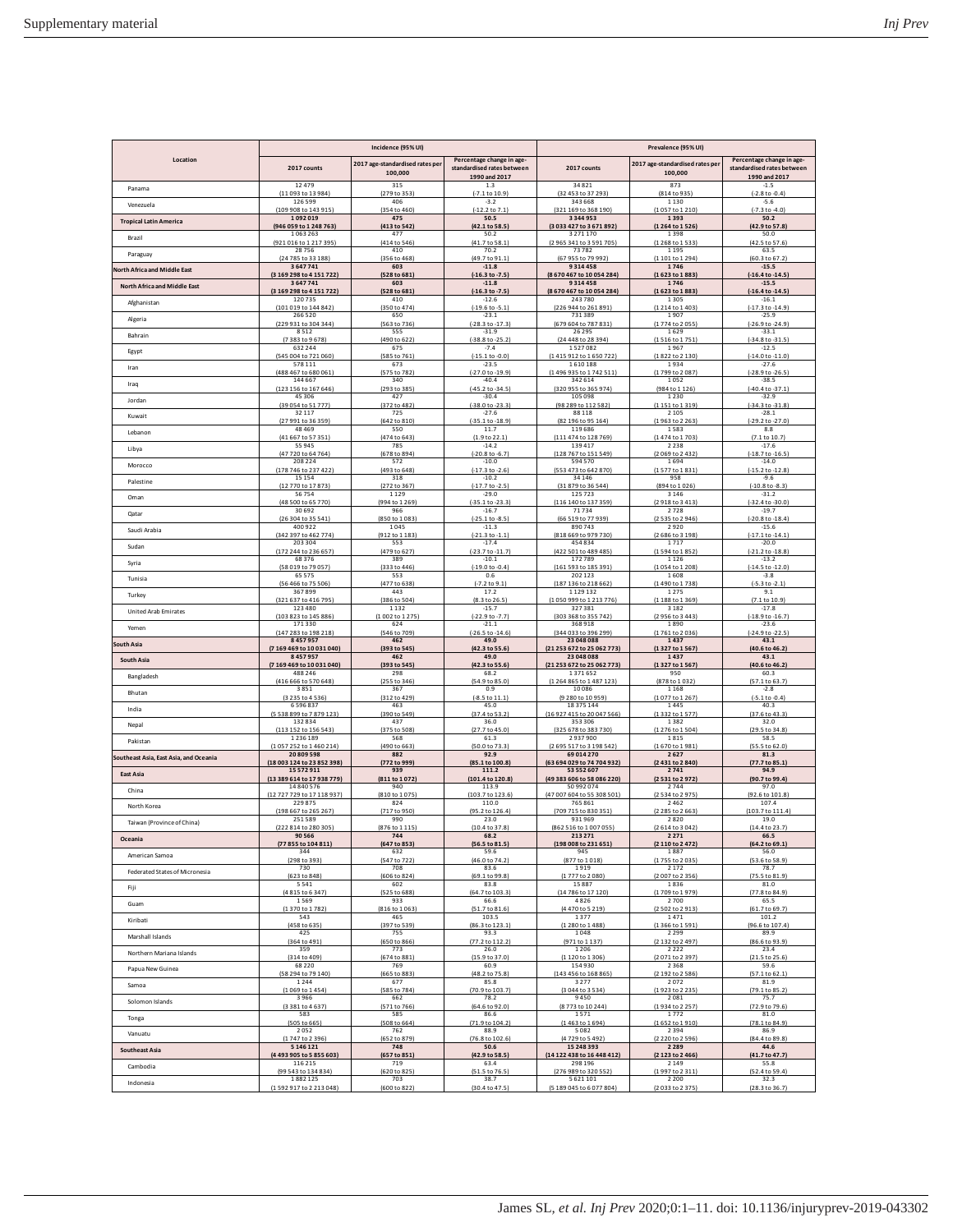|                                        | Incidence (95% UI)                  |                                            | Prevalence (95% UI)                                                      |                                  |                                            |                                                                          |
|----------------------------------------|-------------------------------------|--------------------------------------------|--------------------------------------------------------------------------|----------------------------------|--------------------------------------------|--------------------------------------------------------------------------|
| Location                               | 2017 counts                         | 2017 age-standardised rates per<br>100,000 | Percentage change in age-<br>standardised rates between<br>1990 and 2017 | 2017 counts                      | 2017 age-standardised rates per<br>100,000 | Percentage change in age-<br>standardised rates between<br>1990 and 2017 |
| Panama                                 | 12479                               | 315                                        | 1.3                                                                      | 34821                            | 873                                        | $-1.5$                                                                   |
|                                        | (11 093 to 13 984)                  | (279 to 353                                | $(-7.1 \text{ to } 10.9)$                                                | (32 453 to 37 293)               | (814 to 935                                | $(-2.8 \text{ to } -0.4)$                                                |
| Venezuela                              | 126 599                             | 406                                        | $-3.2$                                                                   | 343 668                          | 1130                                       | $-5.6$                                                                   |
|                                        | (109 908 to 143 915)                | (354 to 460)                               | $(-12.2 \text{ to } 7.1)$                                                | (321 169 to 368 190)             | (1057 to 1210)                             | $(-7.3 to -4.0)$                                                         |
| <b>Tropical Latin America</b>          | 1092019                             | 475                                        | 50.5                                                                     | 3 3 4 4 9 5 3                    | 1393                                       | 50.2                                                                     |
|                                        | (946 059 to 1 248 763)              | (413 to 542)                               | (42.1 to 58.5)                                                           | (3 033 427 to 3 671 892)         | (1264 to 1526)                             | (42.9 to 57.8)                                                           |
| Brazil                                 | 1063263                             | 477                                        | 50.2                                                                     | 3 2 7 1 1 7 0                    | 1398                                       | 50.0                                                                     |
|                                        | (921 016 to 1 217 395)              | (414 to 546)                               | (41.7 to 58.1)                                                           | (2 965 341 to 3 591 705)         | (1268 to 1533                              | (42.5 to 57.6)                                                           |
| Paraguay                               | 28756<br>(24 785 to 33 188)         | 410                                        | 70.2<br>(49.7 to 91.1)                                                   | 73782<br>(67 955 to 79 992)      | 1195<br>(1101 to 1294)                     | 63.5<br>(60.3 to 67.2)                                                   |
| <b>North Africa and Middle East</b>    | 3647741<br>(3169298 to 4151722)     | (356 to 468)<br>603<br>(528 to 681)        | $-11.8$<br>$(-16.3 to -7.5)$                                             | 9314458<br>(8670467 to 10054284) | 1746<br>(1623 to 1883)                     | $-15.5$                                                                  |
| <b>North Africa and Middle East</b>    | 3647741<br>(3 169 298 to 4 151 722) | 603                                        | $-11.8$                                                                  | 9314458                          | 1746                                       | $[-16.4 \text{ to } -14.5]$<br>$-15.5$                                   |
| Afghanistan                            | 120735                              | (528 to 681)<br>410                        | $(-16.3 to -7.5)$<br>$-12.6$                                             | (8670467 to 10054284)<br>243780  | (1623 to 1883<br>1305                      | (-16.4 to -14.5)<br>$-16.1$<br>$(-17.3 to -14.9)$                        |
| Algeria                                | (101 019 to 144 842)<br>266 520     | (350 to 474)<br>650                        | $(-19.6 \text{ to } -5.1)$<br>$-23.1$                                    | (226 944 to 261 891)<br>731389   | (1214 to 1403)<br>1907                     | $-25.9$                                                                  |
| Bahrain                                | (229 931 to 304 344)                | (563 to 736)                               | (-28.3 to -17.3)                                                         | (679 604 to 787 831)             | (1774 to 2055)                             | (-26.9 to -24.9)                                                         |
|                                        | 8512                                | 555                                        | $-31.9$                                                                  | 26 29 5                          | 1629                                       | $-33.1$                                                                  |
| Egypt                                  | (7383 to 9678)                      | (490 to 622)                               | (-38.8 to -25.2)                                                         | (24 448 to 28 394)               | (1516 to 1751)                             | $(-34.8 to -31.5)$                                                       |
|                                        | 632 244                             | 675                                        | $-7.4$                                                                   | 1527082                          | 1967                                       | $-12.5$                                                                  |
| Iran                                   | (545 004 to 721 060)                | (585 to 761                                | $(-15.1 to -0.0)$                                                        | (1415 912 to 1650 722)           | (1822 to 2130                              | (-14.0 to -11.0)                                                         |
|                                        | 578 111                             | 673                                        | $-23.5$                                                                  | 1610188                          | 1934                                       | $-27.6$                                                                  |
| Iraq                                   | (488 467 to 680 061)                | (575 to 782)                               | $(-27.0 \text{ to } -19.9)$                                              | (1496 935 to 1742 511)           | (1799 to 2087)                             | $(-28.9 to -26.5)$                                                       |
|                                        | 144 667                             | 340                                        | $-40.4$                                                                  | 342 614                          | 1052                                       | $-38.5$                                                                  |
| Jordan                                 | (123 156 to 167 646)                | (293 to 385)                               | $(-45.2 \text{ to } -34.5)$                                              | (320 955 to 365 974)             | (984 to 1 126)                             | $(-40.4 + 0.37.1)$                                                       |
|                                        | 45306                               | 427                                        | $-30.4$                                                                  | 105 098                          | 1230                                       | $-32.9$                                                                  |
| Kuwait                                 | (39 054 to 51 777)                  | (372 to 482)                               | (-38.0 to -23.3)                                                         | (98 289 to 112 582)              | (1151 to 1319)                             | (-34.3 to -31.8)                                                         |
|                                        | 32117                               | 725                                        | $-27.6$                                                                  | 88 118                           | 2 1 0 5                                    | $-28.1$                                                                  |
| Lebanon                                | (27 991 to 36 359)                  | (642 to 810)                               | (-35.1 to -18.9)                                                         | (82 196 to 95 164)               | (1963 to 2263                              | (-29.2 to -27.0)                                                         |
|                                        | 48469                               | 550                                        | 11.7                                                                     | 119686                           | 1583                                       | 8.8                                                                      |
| Libya                                  | (41 667 to 57 351)                  | (474 to 643)                               | (1.9 to 22.1)                                                            | (111 474 to 128 769)             | (1474 to 1703)                             | (7.1 to 10.7)                                                            |
|                                        | 55945                               | 785                                        | $-14.2$                                                                  | 139 417                          | 2238                                       | $-17.6$                                                                  |
| Morocco                                | (47 720 to 64 764)                  | (678 to 894)                               | $(-20.8 to -6.7)$                                                        | (128 767 to 151 549)             | (2069 to 2432)                             | $(-18.7)$ to $-16.5$                                                     |
|                                        | 208 224                             | 572                                        | $-10.0$                                                                  | 594 570                          | 1694                                       | $-14.0$                                                                  |
| Palestine                              | (178 746 to 237 422)                | (493 to 648)                               | $(-17.3 \text{ to } -2.6)$                                               | (553 473 to 642 870)             | (1577 to 1831)                             | $(-15.2 + 0.12.8)$                                                       |
|                                        | 15154                               | 318                                        | $-10.2$                                                                  | 34 146                           | 958                                        | $-9.6$                                                                   |
| Oman                                   | (12 770 to 17 873                   | 272 to 367                                 | (-17.7 to -2.5                                                           | (31 879 to 36 544)               | (894 to 1026)                              | $(-10.8 to -8.3)$                                                        |
|                                        | 56754                               | 1129                                       | $-29.0$                                                                  | 125 723                          | 3146                                       | $-31.2$                                                                  |
| Qatar                                  | (48 500 to 65 770)                  | (994 to 1 269)                             | $(-35.1$ to $-23.3)$                                                     | (116 140 to 137 359)             | (2918 to 3413)                             | $(-32.4 to -30.0)$                                                       |
|                                        | 30692                               | 966                                        | $-16.7$                                                                  | 71734                            | 2728                                       | $-19.7$                                                                  |
|                                        | (26 304 to 35 541)                  | (850 to 1083)                              | $(-25.1 to -8.5)$                                                        | (66 519 to 77 939)               | (2535 to 2946)                             | $(-20.8 to -18.4)$                                                       |
|                                        | 400 922                             | 1045                                       | $-11.3$                                                                  | 890743                           | 2920                                       | $-15.6$                                                                  |
| Saudi Arabia                           | (342 397 to 462 774)                | (912 to 1 183)                             | $(-21.3 \text{ to } -1.1)$                                               | (818 669 to 979 730)             | (2686 to 3198)                             | $(-17.1 to -14.1)$                                                       |
| Sudan                                  | 203 304                             | 553                                        | $-17.4$                                                                  | 454834                           | 1717                                       | $-20.0$                                                                  |
|                                        | (172 244 to 236 657)                | (479 to 627)                               | (-23.7 to -11.7)                                                         | (422 501 to 489 485)             | (1594 to 1852)                             | $(-21.2 to -18.8)$                                                       |
|                                        | 68376                               | 389                                        | $-10.1$                                                                  | 172789                           | 1126                                       | $-13.2$                                                                  |
| Syria                                  | (58 019 to 79 057)                  | (333 to 446)                               | $(-19.0 to -0.4)$                                                        | (161 593 to 185 391)             | (1054 to 1208)                             | $(-14.5 to -12.0)$                                                       |
|                                        | 65575                               | 553                                        | 0.6                                                                      | 202 123                          | 1608                                       | $-3.8$                                                                   |
| Tunisia                                | (56 466 to 75 506)                  | (477 to 638)                               | $(-7.2 \text{ to } 9.1)$                                                 | (187 136 to 218 662)             | (1490 to 1738)                             | $(-5.3 to -2.1)$                                                         |
|                                        | 367899                              | 443                                        | 17.2                                                                     | 1129132                          | 1275                                       | 9.1                                                                      |
| Turkey                                 | (321 637 to 416 795)                | (386 to 504)                               | (8.3 to 26.5)                                                            | (1050 999 to 1213 776)           | (1188 to 1369)                             | (7.1 to 10.9)                                                            |
|                                        | 123 480                             | 1 1 3 2                                    | $-15.7$                                                                  | 327381                           | 3 1 8 2                                    | $-17.8$                                                                  |
| United Arab Emirates                   | (103 823 to 145 886)                | (1002 to 1275)                             | $(-22.9 to -7.7)$                                                        | (303 368 to 355 742)             | (2956 to 3443)                             | $(-18.9 to -16.7)$                                                       |
|                                        | 171330                              | 624                                        | $-21.1$                                                                  | 368918                           | 1890                                       | $-23.6$                                                                  |
| Yemen                                  | (147 283 to 198 218)                | (546 to 709)                               | $(-26.5 \text{ to } -14.6)$                                              | (344 033 to 396 299)             | (1761 to 2036)                             | (-24.9 to -22.5)                                                         |
|                                        | 8457957                             | 462                                        | 49.0                                                                     | 23 048 088                       | 1437                                       | 43.1                                                                     |
| South Asia                             | (7 169 469 to 10 031 040)           | (393 to 545)                               | (42.3 to 55.6)                                                           | (21 253 672 to 25 062 773)       | (1327 to 1567)                             | (40.6 to 46.2)                                                           |
|                                        | 8457957                             | 462                                        | 49.0                                                                     | 23 048 088                       | 1437                                       | 43.1                                                                     |
| South Asia                             | (7 169 469 to 10 031 040)           | (393 to 545)                               | (42.3 to 55.6                                                            | (21 253 672 to 25 062 773        | (1327 to 1567                              | (40.6 to 46.2)                                                           |
|                                        | 488 246                             | 298                                        | 68.2                                                                     | 1371652                          | 950                                        | 60.3                                                                     |
| Bangladesh                             | (416 666 to 570 648)                | (255 to 346)                               | (54.9 to 85.0)                                                           | (1 264 865 to 1 487 123)         | (878 to 1032)                              | (57.1 to 63.7)                                                           |
|                                        | 3851                                | 367                                        | 0.9                                                                      | 10086                            | 1168                                       | $-2.8$                                                                   |
| Bhutan                                 | (3 235 to 4 536)                    | (312 to 429)                               | $(-8.5 \text{ to } 11.1)$                                                | (9 280 to 10 959)                | (1077 to 1267)                             | $(-5.1 to -0.4)$                                                         |
|                                        | 6596837                             | 463                                        | 45.0                                                                     | 18 375 144                       | 1445                                       | 40.3                                                                     |
| India                                  | (5538899 to 7879123)                | (390 to 549)                               | (37.4 to 53.2)                                                           | (16 927 415 to 20 047 566)       | 1332 to 1577<br>1382                       | (37.6 to 43.3)                                                           |
| Nepal                                  | 132834<br>152 to 156 543            | 437<br>(375 to 508)                        | 36.0<br>(27.7 to 45.0)                                                   | 353 306<br>678 to 383            | [1 276 to 1 504]                           | 32.0<br>(29.5 to 34.8)                                                   |
| Pakistan                               | 1236189                             | 568                                        | 61.3                                                                     | 2937900                          | 1815                                       | 58.5                                                                     |
|                                        | (1057 252 to 1460 214)              | (490 to 663)                               | (50.0 to 73.3)                                                           | (2695 517 to 3198 542)           | [1670 to 1981]                             | (55.5 to 62.0)                                                           |
| Southeast Asia, East Asia, and Oceania | 20809598                            | 882                                        | 92.9                                                                     | 69 014 270                       | 2627                                       | 81.3                                                                     |
|                                        | (18 003 124 to 23 852 398)          | (772 to 999)                               | (85.1 to 100.8)                                                          | (63 694 029 to 74 704 932)       | (2431 to 2840)                             | (77.7 to 85.1)                                                           |
| <b>East Asia</b>                       | 15 5 7 2 9 1 1                      | 939                                        | 111.2                                                                    | 53 552 607                       | 2741                                       | 94.9                                                                     |
|                                        | (13 389 614 to 17 938 779)          | (811 to 1072)                              | (101.4 to 120.8)                                                         | (49 383 606 to 58 086 220)       | (2531 to 2972)                             | (90.7 to 99.4)                                                           |
| China                                  | 14840576                            | 940                                        | 113.9                                                                    | 50 992 074                       | 2744                                       | 97.0                                                                     |
|                                        | (12 727 729 to 17 118 937)          | (810 to 1075)                              | (103.7 to 123.6                                                          | (47 007 604 to 55 308 501        | (2534 to 2975                              | (92.6 to 101.8)                                                          |
| North Korea                            | 229875                              | 824                                        | 110.0                                                                    | 765 861                          | 2462                                       | 107.4                                                                    |
|                                        | (198 667 to 265 267)                | (717 to 950)                               | (95.2 to 126.4)                                                          | (709 715 to 830 351)             | (2 285 to 2 663)                           | (103.7 to 111.4)                                                         |
| Taiwan (Province of China)             | 251589                              | 990                                        | 23.0                                                                     | 931969                           | 2820                                       | 19.0                                                                     |
|                                        | (222 814 to 280 305)                | (876 to 1 115)                             | (10.4 to 37.8)                                                           | (862 516 to 1 007 055)           | (2614 to 3042)                             | (14.4 to 23.7)                                                           |
| Oceania                                | 90566                               | 744                                        | 68.2                                                                     | 213 271                          | 2271                                       | 66.5                                                                     |
|                                        | (77 855 to 104 811)                 | (647 to 853)                               | (56.5 to 81.5)                                                           | (198 008 to 231 651)             | (2 110 to 2 472)                           | (64.2 to 69.1)                                                           |
| American Samoa                         | 344                                 | 632                                        | 59.6                                                                     | 945                              | 1887                                       | 56.0                                                                     |
|                                        | (298 to 393)                        | (547 to 722)                               | (46.0 to 74.2)                                                           | (877 to 1018)                    | (1755 to 2035)                             | (53.6 to 58.9)                                                           |
| Federated States of Micronesia         | 730                                 | 708                                        | 83.6                                                                     | 1919                             | 2172                                       | 78.7                                                                     |
|                                        | (623 to 848)                        | (606 to 824)                               | (69.1 to 99.8)                                                           | (1777 to 2080)                   | (2007 to 2356)                             | (75.5 to 81.9)                                                           |
| Fiji                                   | 5541                                | 602                                        | 83.8                                                                     | 15887                            | 1836                                       | 81.0                                                                     |
|                                        | (4815 to 6347)                      | (525 to 688)                               | (64.7 to 103.3)                                                          | (14 786 to 17 120)               | (1709 to 1979)                             | (77.8 to 84.9)                                                           |
| Guam                                   | 1569                                | 933                                        | 66.6                                                                     | 4826                             | 2700                                       | 65.5                                                                     |
|                                        | (1370 to 1782)                      | (816 to 1063)                              | (51.7 to 81.6)                                                           | (4 470 to 5 219)                 | (2502 to 2913)                             | (61.7 to 69.7)                                                           |
| Kiribati                               | 543                                 | 465                                        | 103.5                                                                    | 1377                             | 1471                                       | 101.2                                                                    |
|                                        | (458 to 635)                        | (397 to 539)                               | (86.3 to 123.1)                                                          | (1 280 to 1 488)                 | (1366 to 1591)                             | (96.6 to 107.4)                                                          |
| Marshall Islands                       | 425                                 | 755                                        | 93.3                                                                     | 1048                             | 2 2 9 9                                    | 89.9                                                                     |
|                                        | (364 to 491)                        | (650 to 866)                               | (77.2 to 112.2)                                                          | (971 to 1 137)                   | (2132 to 2497)                             | (86.6 to 93.9)                                                           |
| Northern Mariana Islands               | 359                                 | 773                                        | 26.0                                                                     | 1 2 0 6                          | 2222                                       | 23.4                                                                     |
|                                        | (314 to 409)                        | (674 to 881)                               | (15.9 to 37.0)                                                           | (1 120 to 1 306)                 | (2071 to 2397)                             | (21.5 to 25.6)                                                           |
| Papua New Guinea                       | 68220                               | 769                                        | 60.9                                                                     | 154930                           | 2368                                       | 59.6                                                                     |
|                                        | (58 294 to 79 140)                  | (665 to 883)                               | (48.2 to 75.8)                                                           | (143 456 to 168 865)             | (2192 to 2586)                             | (57.1 to 62.1)                                                           |
| Samoa                                  | 1244                                | 677                                        | 85.8                                                                     | 3 2 7 7                          | 2072                                       | 81.9                                                                     |
|                                        | (1069 to 1454)                      | (585 to 784)                               | (70.9 to 103.7)                                                          | (3 044 to 3 5 3 4)               | (1923 to 2235)                             | (79.1 to 85.2)                                                           |
| Solomon Islands                        | 3966                                | 662                                        | 78.2                                                                     | 9450                             | 2081                                       | 75.7                                                                     |
|                                        | (3381 to 4637)                      | (571 to 766)                               | (64.6 to 92.0)                                                           | (8773 to 10244)                  | (1934 to 2257)                             | (72.9 to 79.6)                                                           |
| Tonga                                  | 583                                 | 585                                        | 86.6                                                                     | 1571                             | 1772                                       | 81.0                                                                     |
|                                        | (505 to 665)                        | (508 to 664)                               | (71.9 to 104.2)                                                          | (1463 to 1694)                   | (1652 to 1910)                             | (78.1 to 84.9)                                                           |
| Vanuatu                                | 2052                                | 762                                        | 88.9                                                                     | 5082                             | 2394                                       | 86.9                                                                     |
|                                        | (1747 to 2396)                      | (652 to 879)                               | (76.8 to 102.6)                                                          | (4729 to 5492)                   | (2 2 2 0 to 2 5 9 6)                       | (84.4 to 89.8)                                                           |
| <b>Southeast Asia</b>                  | 5 146 121                           | 748                                        | 50.6                                                                     | 15 248 393                       | 2 2 8 9                                    | 44.6                                                                     |
|                                        | (4493 905 to 5855 603)              | (657 to 851)                               | (42.9 to 58.5)                                                           | (14 122 438 to 16 448 412)       | (2 123 to 2 466)                           | (41.7 to 47.7)                                                           |
| Cambodia                               | 116 215                             | 719                                        | 63.4                                                                     | 298 196                          | 2 1 4 9                                    | 55.8                                                                     |
|                                        | (99 543 to 134 834)                 | (620 to 825)                               | (51.5 to 76.5)                                                           | (276 989 to 320 552)             | (1997 to 2311)                             | (52.4 to 59.4)                                                           |
| Indonesia                              | 1882125                             | 703                                        | 38.7                                                                     | 5621101                          | 2 2 0 0                                    | 32.3                                                                     |
|                                        | (1592917 to 2213048)                | (600 to 822)                               | (30.4 to 47.5)                                                           | (5 189 045 to 6 077 804)         | (2033 to 2375)                             | (28.3 to 36.7)                                                           |
|                                        |                                     |                                            |                                                                          |                                  |                                            |                                                                          |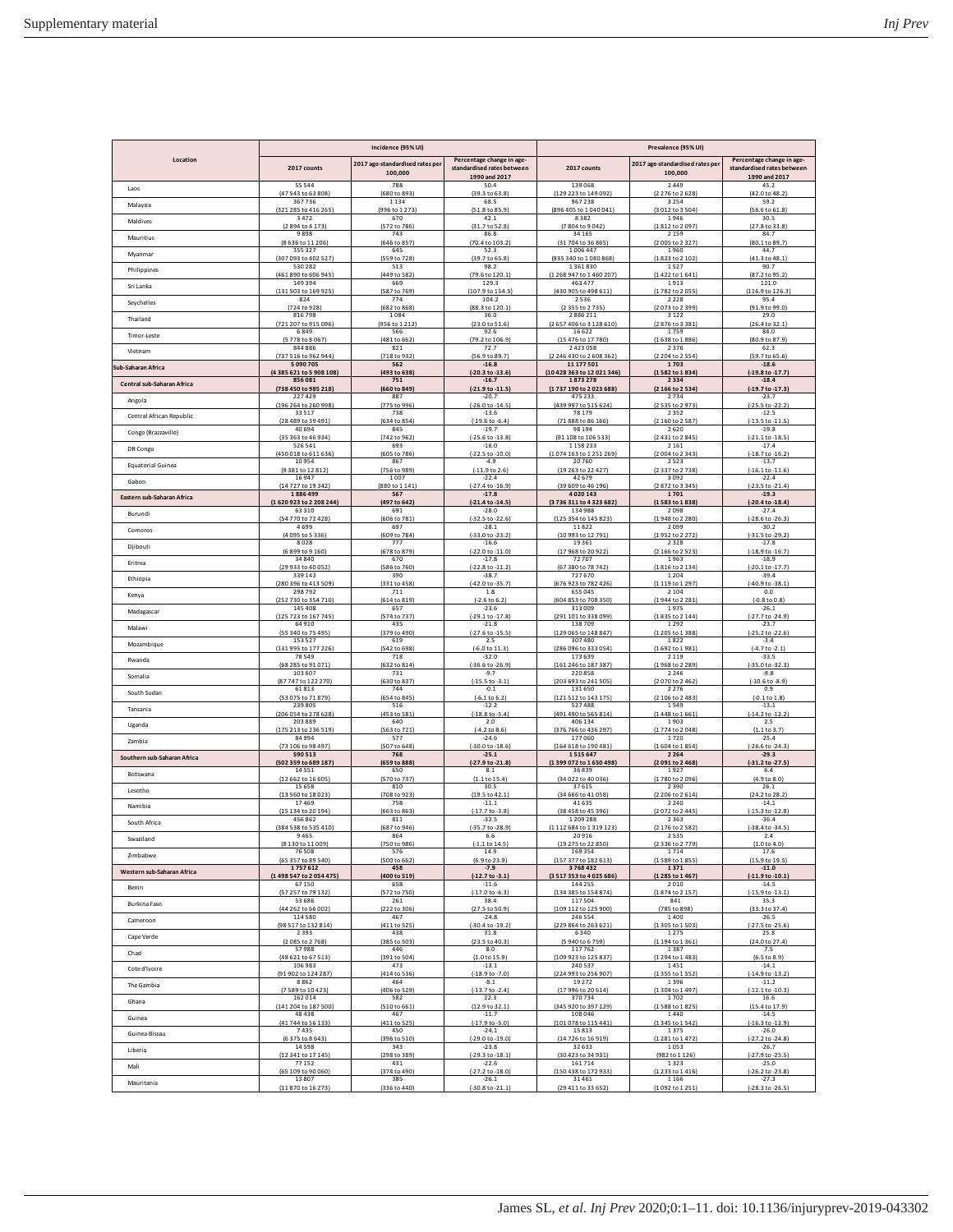|                             | Incidence (95% UI)           |                                            |                                                                          | Prevalence (95% UI)          |                                            |                                                                          |  |
|-----------------------------|------------------------------|--------------------------------------------|--------------------------------------------------------------------------|------------------------------|--------------------------------------------|--------------------------------------------------------------------------|--|
| Location                    | 2017 counts                  | 2017 age-standardised rates per<br>100,000 | Percentage change in age-<br>standardised rates between<br>1990 and 2017 | 2017 counts                  | 2017 age-standardised rates per<br>100,000 | Percentage change in age-<br>standardised rates between<br>1990 and 2017 |  |
| Laos                        | 55544                        | 788                                        | 50.4                                                                     | 139 068                      | 2449                                       | 45.2                                                                     |  |
|                             | (47 543 to 63 808)           | (680 to 893)                               | (39.3 to 63.8)                                                           | (129 223 to 149 092)         | (2276 to 2628)                             | (42.0 to 48.2)                                                           |  |
| Malaysia                    | 367736                       | 1 1 3 4                                    | 68.5                                                                     | 967238                       | 3254                                       | 59.2                                                                     |  |
|                             | (321 285 to 416 265)         | (996 to 1 273)                             | (51.8 to 85.9)                                                           | (896 405 to 1 040 041)       | (3012 to 3504)                             | (56.6 to 61.8)                                                           |  |
| Maldives                    | 3472                         | 670                                        | 42.1                                                                     | 8382                         | 1946                                       | 30.5                                                                     |  |
|                             | (2894 to 4173)               | (572 to 786)                               | (31.7 to 52.8)                                                           | (7804 to 9042)               | (1812 to 2097)                             | (27.8 to 33.8)                                                           |  |
| Mauritius                   | 9898                         | 743                                        | 86.8<br>(70.4 to 103.2)                                                  | 34 165<br>(31 704 to 36 865) | 2159                                       | 84.7                                                                     |  |
| Myanmar                     | (8 636 to 11 206)<br>355 327 | (646 to 857)<br>645                        | 52.3                                                                     | 1006447                      | (2005 to 2327)<br>1960                     | (80.1 to 89.7)<br>44.7                                                   |  |
| Philippines                 | (307 093 to 402 527)         | (559 to 728)                               | (39.7 to 65.8)                                                           | (935 340 to 1 080 868)       | (1823 to 2 102)                            | (41.3 to 48.1)                                                           |  |
|                             | 530 282                      | 513                                        | 98.2                                                                     | 1361830                      | 1527                                       | 90.7                                                                     |  |
| Sri Lanka                   | (461 890 to 606 945)         | (449 to 582)                               | (79.6 to 120.1)                                                          | (1 268 947 to 1 460 207)     | (1422 to 1641)                             | (87.2 to 95.2)                                                           |  |
|                             | 149 394                      | 669                                        | 129.3                                                                    | 463 477                      | 1913                                       | 121.0                                                                    |  |
| Sevchelles                  | (131 503 to 169 925)         | (587 to 769)                               | (107.9 to 154.5)                                                         | (430 905 to 498 611)         | (1782 to 2055)                             | (116.9 to 126.3)                                                         |  |
|                             | 824                          | 774                                        | 104.2                                                                    | 2536                         | 2228                                       | 95.4                                                                     |  |
| Thailand                    | (724 to 928)                 | (682 to 868)                               | (88.3 to 120.1)                                                          | (2 355 to 2 735)             | (2073 to 2399)                             | (91.9 to 99.0)                                                           |  |
|                             | 816 798                      | 1084                                       | 36.0                                                                     | 2886211                      | 3122                                       | 29.0                                                                     |  |
|                             | (721 207 to 915 096)         | (956 to 1 212)                             | (23.0 to 51.6)                                                           | (2 657 406 to 3 128 610)     | (2876 to 3381)                             | (26.4 to 32.1)                                                           |  |
|                             | 6849                         | 566                                        | 92.6                                                                     | 16622                        | 1759                                       | 84.0                                                                     |  |
| Timor-Leste                 | (5778 to 8067                | (481 to 662)                               | (79.2 to 106.9)                                                          | (15 476 to 17 780)           | (1638 to 1886)                             | (80.9 to 87.9)                                                           |  |
|                             | 844 886                      | 821                                        | 72.7                                                                     | 2423058                      | 2376                                       | 62.3                                                                     |  |
| Vietnam                     | (737 516 to 962 944)         | (718 to 932)                               | (56.9 to 89.7)                                                           | (2 246 430 to 2 608 362)     | (2 204 to 2 554)                           | (59.7 to 65.6)                                                           |  |
|                             | 5090705                      | 562                                        | $-16.8$                                                                  | 11 177 501                   | 1703                                       | $-18.6$                                                                  |  |
| Sub-Saharan Africa          | (4385 621 to 5 908 108)      | (493 to 638)                               | $(-20.3 to -13.6)$                                                       | (10 428 363 to 12 021 346)   | (1582 to 1834)                             | (-19.8 to -17.7)                                                         |  |
|                             | 856081                       | 751                                        | $-16.7$                                                                  | 1873278                      | 2334                                       | $-18.4$                                                                  |  |
| Central sub-Saharan Africa  | 738 450 to 985 218)          | (660 to 849)                               | $(-21.9 \text{ to } -11.5)$                                              | (1737 190 to 2023 688)       | (2166 to 2534)                             | $[-19.7 \text{ to } -17.3]$                                              |  |
| Angola                      | 227 429                      | 887                                        | $-20.7$                                                                  | 475 233                      | 2734                                       | $-23.7$                                                                  |  |
|                             | (196 264 to 260 998)         | (775 to 996)                               | (-26.0 to -14.5)                                                         | (439 997 to 515 624)         | (2535 to 2973                              | (-25.5 to -22.2)                                                         |  |
| Central African Republic    | 33517                        | 738                                        | $-13.6$                                                                  | 78 179                       | 2352                                       | $-12.5$                                                                  |  |
|                             | (28 489 to 39 491)           | (634 to 854)                               | $(-19.6 \text{ to } -6.4)$                                               | (71 888 to 86 166)           | (2 160 to 2 587)                           | $(-13.5$ to $-11.5)$                                                     |  |
| Congo (Brazzaville)         | 40694                        | 845                                        | $-19.7$                                                                  | 98 194                       | 2620                                       | $-19.8$                                                                  |  |
|                             | (35 363 to 46 934)           | (742 to 962)                               | $(-25.6 \text{ to } -13.8)$                                              | (91 108 to 106 533)          | (2431 to 2845)                             | $(-21.1 to -18.5)$                                                       |  |
| <b>DR</b> Congo             | 526 541                      | 693                                        | $-16.0$                                                                  | 1158233                      | 2161                                       | $-17.4$                                                                  |  |
|                             | (450 018 to 611 636)         | (605 to 786)                               | (-22.5 to -10.0)                                                         | (1074 163 to 1251 269)       | (2004 to 2343)                             | (-18.7 to -16.2)                                                         |  |
| <b>Equatorial Guinea</b>    | 10954                        | 867                                        | $-4.9$                                                                   | 20760                        | 2523                                       | $-13.7$                                                                  |  |
|                             | (9381 to 12812)              | (756 to 989)                               | $(-1.1.9 to 2.6)$                                                        | (19 263 to 22 427)           | (2337 to 2738                              | $(-16.1 \text{ to } -11.6)$                                              |  |
| Gabon                       | 16947                        | 1007                                       | $-22.4$                                                                  | 42 679                       | 3092                                       | $-22.4$                                                                  |  |
|                             | (14 727 to 19 342)           | (880 to 1 141)                             | $(-27.4$ to $-16.9)$                                                     | (39 609 to 46 196)           | (2872 to 3345)                             | $(-23.5 to -21.4)$                                                       |  |
| Eastern sub-Saharan Africa  | 1886499                      | 567                                        | $-17.8$                                                                  | 4020143                      | 1701                                       | $-19.3$                                                                  |  |
|                             | (1620923 to 2208244)         | (497 to 642)                               | (-21.4 to -14.5)                                                         | (3736 311 to 4323 682        | (1583 to 1838)                             | (-20.4 to -18.4)                                                         |  |
| Burundi                     | 63310                        | 691                                        | $-28.0$                                                                  | 134988                       | 2098                                       | $-27.4$                                                                  |  |
|                             | (54 770 to 72 428)           | (606 to 781)                               | $(-32.5$ to $-22.6)$                                                     | (125 354 to 145 823)         | (1948 to 2 280)                            | (-28.6 to -26.3)                                                         |  |
| Comoros                     | 4699                         | 697<br>(609 to 784)                        | $-28.1$                                                                  | 11822                        | 2099                                       | $-30.2$                                                                  |  |
| Djibouti                    | (4 095 to 5 336)<br>8028     | 777                                        | (-33.0 to -23.2)<br>$-16.6$                                              | (10 993 to 12 791)<br>19361  | (1952 to 2272<br>2328                      | (-31.5 to -29.2)<br>$-17.8$                                              |  |
| Eritrea                     | (6 899 to 9 160)             | (678 to 879)                               | $(-22.0 \text{ to } -11.0)$                                              | (17 968 to 20 922)           | (2 166 to 2 523)                           | (-18.9 to -16.7)                                                         |  |
|                             | 34840                        | 670                                        | $-17.8$                                                                  | 72707                        | 1963                                       | $-18.9$                                                                  |  |
| Ethiopia                    | (29 933 to 40 052)           | (586 to 760)                               | $(-22.8$ to $-11.2)$                                                     | (67 380 to 78 742)           | (1816 to 2134)                             | (-20.1 to -17.7)                                                         |  |
|                             | 339 143                      | 390                                        | $-38.7$                                                                  | 727670                       | 1204                                       | $-39.4$                                                                  |  |
| Kenva                       | (280 396 to 413 509)         | (331 to 458)                               | $(-42.0 to -35.7)$                                                       | (676 923 to 782 426)         | (1119 to 1297)                             | $(-40.9 to -38.1)$                                                       |  |
|                             | 298 792                      | 711                                        | 1.8                                                                      | 655 045                      | 2 1 0 4                                    | 0.0                                                                      |  |
|                             | (252 730 to 354 710)         | (614 to 819)                               | $(-2.6 \text{ to } 6.2)$                                                 | (604 853 to 708 350)         | (1944 to 2281                              | $(-0.8 to 0.8)$                                                          |  |
|                             | 145 408                      | 657                                        | $-23.6$                                                                  | 313009                       | 1975                                       | $-26.1$                                                                  |  |
| Madagascar                  | (125 723 to 167 745)         | (574 to 737                                | (-29.1 to -17.8)                                                         | (291 101 to 338 099)         | (1835 to 2144)                             | (-27.7 to -24.9)                                                         |  |
|                             | 64910                        | 435                                        | $-21.8$                                                                  | 138 709                      | 1292                                       | $-23.7$                                                                  |  |
| Malawi                      | (55 340 to 75 495)           | (379 to 490)                               | $(-27.6 \text{ to } -15.5)$                                              | (129 065 to 148 847)         | (1205 to 1388)                             | $(-25.2 to -22.6)$                                                       |  |
|                             | 153 527                      | 619                                        | 2.5                                                                      | 307480                       | 1822                                       | $-3.4$                                                                   |  |
| Mozambique                  | (131 995 to 177 226)         | (542 to 698)                               | $(-6.0 to 11.3)$                                                         | (286 096 to 333 054)         | (1692 to 1981)                             | $(-4.7 to -2.1)$                                                         |  |
|                             | 78549                        | 718                                        | $-32.0$                                                                  | 173639                       | 2 1 1 9                                    | $-33.5$                                                                  |  |
| Rwanda                      | (68 285 to 91 071)           | (632 to 814)                               | $(-36.6 \text{ to } -26.9)$                                              | (161 246 to 187 387)         | (1968 to 2289)                             | $(-35.0 to -32.3)$                                                       |  |
|                             | 103 607                      | 731                                        | $-9.7$                                                                   | 220858                       | 2 2 4 6                                    | $-9.8$                                                                   |  |
| Somalia                     | (87 747 to 122 270)          | (630 to 837)                               | $(-15.5 to -3.1)$                                                        | (203 693 to 241 505)         | (2070 to 2462)                             | $(-10.6 to -8.9)$                                                        |  |
| South Sudan                 | 61813                        | 744                                        | $-0.1$                                                                   | 131650                       | 2276                                       | 0.9                                                                      |  |
|                             | (53 075 to 71 879)           | (654 to 845)                               | $(-6.1 to 6.2)$                                                          | (121 512 to 143 175)         | (2 106 to 2 483)                           | $(-0.1 to 1.8)$                                                          |  |
| Tanzania                    | 239805                       | 516                                        | $-12.2$                                                                  | 527488                       | 1549                                       | $-13.1$                                                                  |  |
|                             | (206 054 to 278 628)         | (453 to 581)                               | $(-18.8 to -5.4)$                                                        | (491 490 to 565 814)         | (1448 to 1661)                             | $(-14.2 to -12.2)$                                                       |  |
| Uganda                      | 203889                       | 640                                        | 2.0                                                                      | 406 134                      | 1903                                       | 2.5                                                                      |  |
|                             | (175 213 to 236 519)         | (563 to 721)                               | $(-4.2 \text{ to } 8.6)$                                                 | (376 766 to 436 297)         | (1774 to 2048)                             | (1.1 to 3.7)                                                             |  |
| Zambia                      | 84994                        | 577                                        | $-24.6$                                                                  | 177060                       | 1720                                       | $-25.4$                                                                  |  |
|                             | (73 106 to 98 497)           | (507 to 648)                               | $(-30.0 to -18.6)$                                                       | (164 618 to 190 481)         | (1604 to 1854)                             | $(-26.6 \text{ to } -24.3)$                                              |  |
| Southern sub-Saharan Africa | 590 513                      | 768                                        | $-25.1$                                                                  | 1515647                      | 2 2 6 4                                    | $-29.3$                                                                  |  |
|                             | (502 359 to 689 187)         | (659 to 888)                               | (-27.9 to -21.8)                                                         | (1399 072 to 1650 498)       | (2091 to 2468)                             | (-31.2 to -27.5)                                                         |  |
| Botswana                    | 14551                        | 650                                        | 8.1                                                                      | 36839                        | 1927                                       | 6.4                                                                      |  |
|                             | (12 662 to 16 605)           | (570 to 737                                | (1.1 to 15.4)                                                            | (34 022 to 40 036)           | (1780 to 2096)                             | (4.9 to 8.0)                                                             |  |
| Lesotho                     | 15658                        | 810                                        | 30.5                                                                     | 37615                        | 2390                                       | 26.1                                                                     |  |
|                             | (13 560 to 18 023)           | (708 to 923)                               | (19.5 to 42.1)                                                           | (34 666 to 41 058)           | (2 206 to 2 614)                           | (24.2 to 28.2)                                                           |  |
| Namibia                     | 17469                        | 758                                        | $-11.1$                                                                  | 41635                        | 2240                                       | $-14.1$                                                                  |  |
|                             | (15 134 to 20 194)           | (663 to 863)                               | $(-17.7 \text{ to } -3.8)$                                               | (38 458 to 45 396)           | (2072 to 2445)                             | $(-15.3 to -12.8)$                                                       |  |
| South Africa                | 456862                       | 811                                        | $-32.5$                                                                  | 1209288                      | 2363                                       | $-36.4$                                                                  |  |
| Swaziland                   | (384 538 to 535 410)         | (687 to 946)                               | $(-35.7 to -28.9)$                                                       | (1112 684 to 1319 123)       | (2176 to 2582)                             | (-38.4 to -34.5)                                                         |  |
|                             | 9465                         | 864                                        | b.b                                                                      | 20916                        | 2535                                       | 2.4                                                                      |  |
| Zimbabwe                    | (8 130 to 11 009)            | (750 to 986)                               | $(-1.1 \text{ to } 14.5)$                                                | (19 275 to 22 850)           | (2336 to 2779)                             | (1.0 to 4.0)                                                             |  |
|                             | 76508                        | 576                                        | 14.9                                                                     | 169354                       | 1714                                       | 17.6                                                                     |  |
| Western sub-Saharan Africa  | (65 357 to 89 540)           | (500 to 662)                               | (6.9 to 23.9)                                                            | (157 377 to 182 613)         | (1589 to 1855)                             | (15.9 to 19.5)                                                           |  |
|                             | 1757612                      | 458                                        | $-7.9$                                                                   | 3768432                      | 1371                                       | $-11.0$                                                                  |  |
| Benin                       | (1498 547 to 2054 475)       | (400 to 519)                               | $(-12.7 to -3.1)$                                                        | (3 517 353 to 4 025 686)     | (1285 to 1467)                             | $(-11.9 to -10.1)$                                                       |  |
|                             | 67150                        | 658                                        | $-11.6$                                                                  | 144 255                      | 2010                                       | $-14.5$                                                                  |  |
| Burkina Faso                | (57 257 to 79 132)           | (572 to 750)                               | $(-17.0 to -6.3)$                                                        | (134 385 to 154 874)         | (1874 to 2157)                             | $(-15.9 to -13.1)$                                                       |  |
|                             | 53686                        | 261                                        | 38.4                                                                     | 117504                       | 841                                        | 35.3                                                                     |  |
|                             | (44 262 to 66 002)           | (222 to 306)                               | (27.5 to 50.9)                                                           | (109 112 to 125 900)         | (785 to 898)                               | (33.3 to 37.4)                                                           |  |
|                             | 114 580                      | 467                                        | $-24.8$                                                                  | 246554                       | 1400                                       | $-26.5$                                                                  |  |
| Cameroon                    | (98 517 to 132 814)          | (411 to 525)                               | $(-30.4 \text{ to } -19.2)$                                              | (229 864 to 263 621)         | (1305 to 1503)                             | $(-27.5 to -25.6)$                                                       |  |
|                             | 2 3 9 3                      | 438                                        | 31.8                                                                     | 6340                         | 1275                                       | 25.8                                                                     |  |
| Cape Verde                  | (2085 to 2768)               | (385 to 503)                               | (23.5 to 40.3)                                                           | (5 940 to 6 759)             | (1194 to 1361)                             | (24.0 to 27.4)                                                           |  |
|                             | 57988                        | 446                                        | 8.0                                                                      | 117762                       | 1387                                       | 7.5                                                                      |  |
| Chad                        | (48 621 to 67 513)           | (391 to 504)                               | (1.0 to 15.9)                                                            | (109 923 to 125 837)         | (1294 to 1483)                             | (6.5 to 8.9)                                                             |  |
|                             | 106983                       | 473                                        | $-13.1$                                                                  | 240537                       | 1451                                       | $-14.1$                                                                  |  |
| Cote d'Ivoire               | (91 902 to 124 287)          | (414 to 536)                               | $(-18.9 to -7.0)$                                                        | (224 993 to 256 907)         | (1355 to 1552)                             | $(-14.9 to -13.2)$                                                       |  |
| The Gambia                  | 8862                         | 464                                        | $-8.1$                                                                   | 19 27 2                      | 1396                                       | $-11.2$                                                                  |  |
|                             | (7589 to 10423)              | (406 to 529)                               | $(-13.7 to -2.4)$                                                        | (17 996 to 20 614)           | (1304 to 1497)                             | $(-12.1 to -10.3)$                                                       |  |
| Ghana                       | 162014                       | 582                                        | 22.3                                                                     | 370734                       | 1702                                       | 16.6                                                                     |  |
|                             | (141 204 to 187 500)         | (510 to 661)                               | (12.9 to 32.1)                                                           | (345 920 to 397 129)         | (1588 to 1825)                             | (15.4 to 17.9)                                                           |  |
| Guinea                      | 48438                        | 467                                        | $-11.7$                                                                  | 108 046                      | 1440                                       | $-14.5$                                                                  |  |
|                             | (41 744 to 56 133)           | (411 to 525)                               | $(-17.9 to -5.0)$                                                        | (101 078 to 115 441)         | (1345 to 1542)                             | $(-16.3 to -12.9)$                                                       |  |
| Guinea-Bissau               | 7435                         | 450                                        | $-24.1$                                                                  | 15813                        | 1375                                       | $-26.0$                                                                  |  |
|                             | (6375 to 8643)               | (396 to 510)                               | $(-29.0 \text{ to } -19.0)$                                              | (14 726 to 16 919)           | (1281 to 1472)                             | (-27.2 to -24.8)                                                         |  |
| Liberia                     | 14598                        | 343                                        | $-23.8$                                                                  | 32633                        | 1053                                       | $-26.7$                                                                  |  |
|                             | (12 341 to 17 145)           | (298 to 389)                               | $(-29.3 to -18.1)$                                                       | (30 423 to 34 931)           | (982 to 1 126)                             | $(-27.9 to -25.5)$                                                       |  |
| Mali                        | 77152                        | 431                                        | $-22.6$                                                                  | 161714                       | 1323                                       | $-25.0$                                                                  |  |
|                             | (65 109 to 90 060)           | (374 to 490)                               | $(-27.2$ to $-18.0)$                                                     | (150 438 to 172 933)         | (1233 to 1416)                             | $(-26.2 \text{ to } -23.8)$                                              |  |
| Mauritania                  | 13807                        | 385                                        | $-26.1$                                                                  | 31461                        | 1166                                       | $-27.3$                                                                  |  |
|                             | (11870 to 16273)             | (336 to 440)                               | $(-30.8 to -21.1)$                                                       | (29 411 to 33 652)           | (1092 to 1251)                             | $(-28.3 \text{ to } -26.5)$                                              |  |